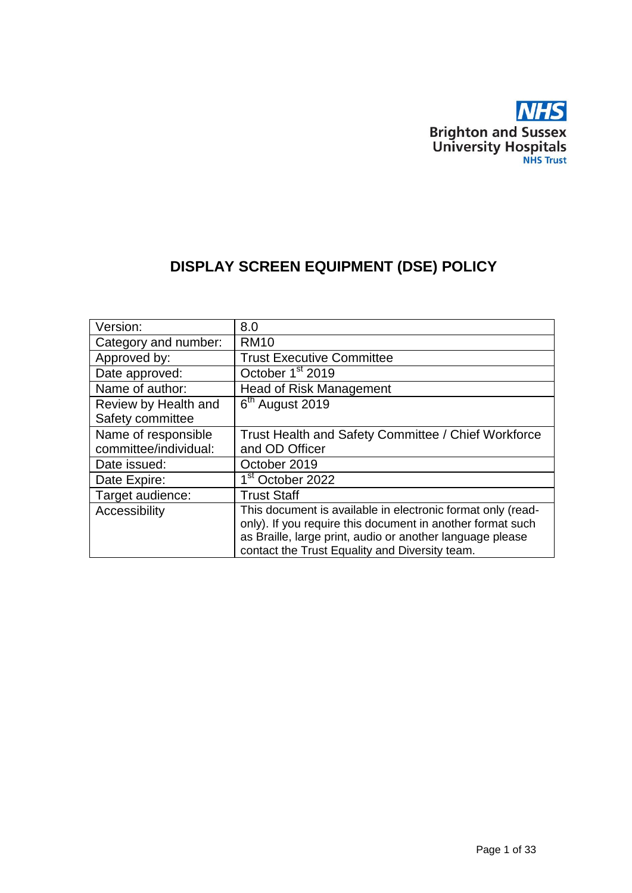

# **DISPLAY SCREEN EQUIPMENT (DSE) POLICY**

| Version:              | 8.0                                                         |
|-----------------------|-------------------------------------------------------------|
| Category and number:  | <b>RM10</b>                                                 |
| Approved by:          | <b>Trust Executive Committee</b>                            |
| Date approved:        | October 1 <sup>st</sup> 2019                                |
| Name of author:       | <b>Head of Risk Management</b>                              |
| Review by Health and  | 6 <sup>th</sup> August 2019                                 |
| Safety committee      |                                                             |
| Name of responsible   | Trust Health and Safety Committee / Chief Workforce         |
| committee/individual: | and OD Officer                                              |
| Date issued:          | October 2019                                                |
| Date Expire:          | 1 <sup>st</sup> October 2022                                |
| Target audience:      | <b>Trust Staff</b>                                          |
| Accessibility         | This document is available in electronic format only (read- |
|                       | only). If you require this document in another format such  |
|                       | as Braille, large print, audio or another language please   |
|                       | contact the Trust Equality and Diversity team.              |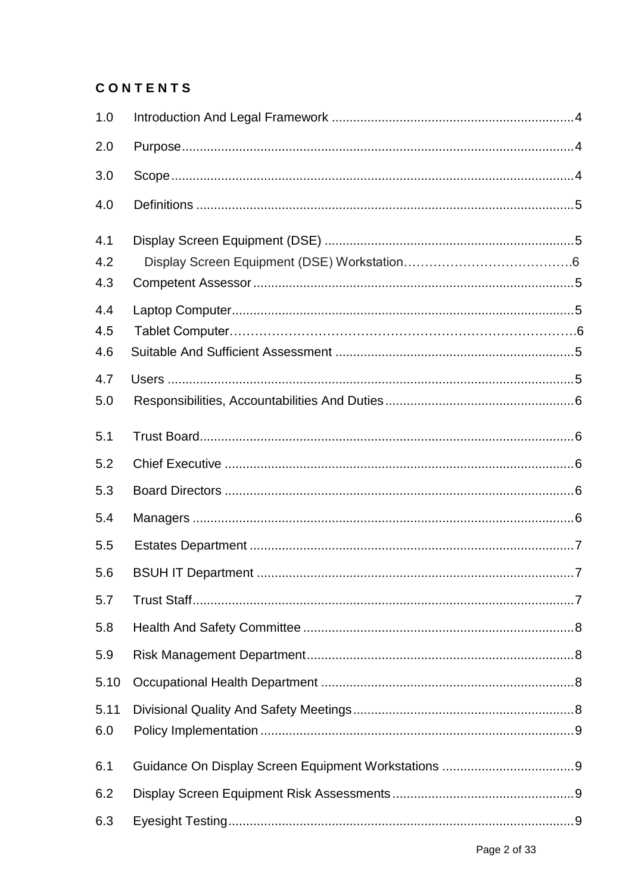# CONTENTS

| 1.0               |  |
|-------------------|--|
| 2.0               |  |
| 3.0               |  |
| 4.0               |  |
| 4.1<br>4.2        |  |
| 4.3               |  |
| 4.4<br>4.5<br>4.6 |  |
| 4.7               |  |
| 5.0               |  |
| 5.1               |  |
| 5.2               |  |
| 5.3               |  |
| 5.4               |  |
| 5.5               |  |
| 5.6               |  |
| 5.7               |  |
| 5.8               |  |
| 5.9               |  |
| 5.10              |  |
| 5.11<br>6.0       |  |
| 6.1               |  |
| 6.2               |  |
| 6.3               |  |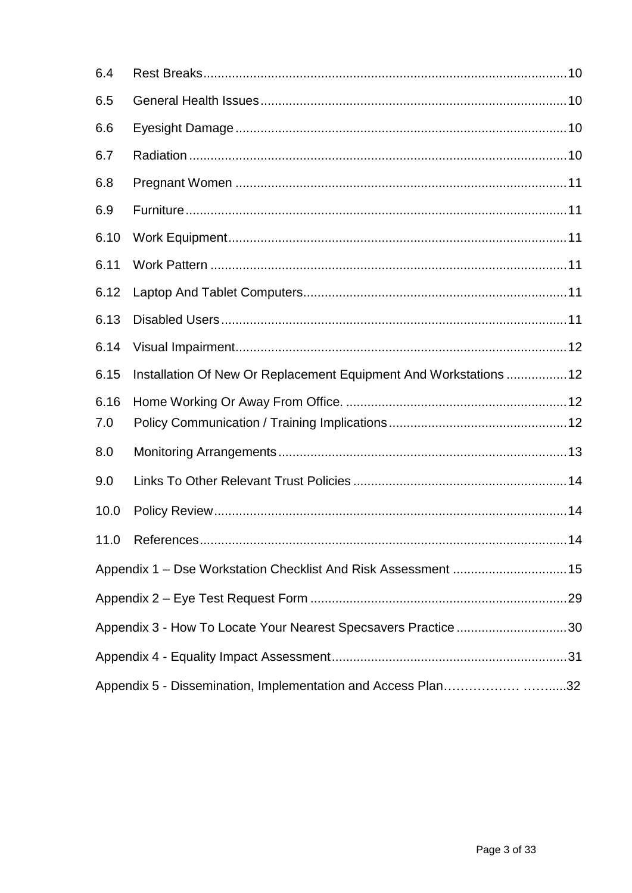| 6.4                                                          |                                                                   |    |  |  |  |
|--------------------------------------------------------------|-------------------------------------------------------------------|----|--|--|--|
| 6.5                                                          |                                                                   |    |  |  |  |
| 6.6                                                          |                                                                   |    |  |  |  |
| 6.7                                                          |                                                                   |    |  |  |  |
| 6.8                                                          |                                                                   |    |  |  |  |
| 6.9                                                          |                                                                   |    |  |  |  |
| 6.10                                                         |                                                                   |    |  |  |  |
| 6.11                                                         |                                                                   |    |  |  |  |
| 6.12                                                         |                                                                   |    |  |  |  |
| 6.13                                                         |                                                                   |    |  |  |  |
| 6.14                                                         |                                                                   |    |  |  |  |
| 6.15                                                         | Installation Of New Or Replacement Equipment And Workstations  12 |    |  |  |  |
| 6.16                                                         |                                                                   |    |  |  |  |
| 7.0                                                          |                                                                   |    |  |  |  |
| 8.0                                                          |                                                                   |    |  |  |  |
| 9.0                                                          |                                                                   |    |  |  |  |
| 10.0                                                         |                                                                   |    |  |  |  |
|                                                              |                                                                   | 14 |  |  |  |
|                                                              | Appendix 1 - Dse Workstation Checklist And Risk Assessment  15    |    |  |  |  |
|                                                              |                                                                   |    |  |  |  |
|                                                              | Appendix 3 - How To Locate Your Nearest Specsavers Practice30     |    |  |  |  |
|                                                              |                                                                   |    |  |  |  |
| Appendix 5 - Dissemination, Implementation and Access Plan32 |                                                                   |    |  |  |  |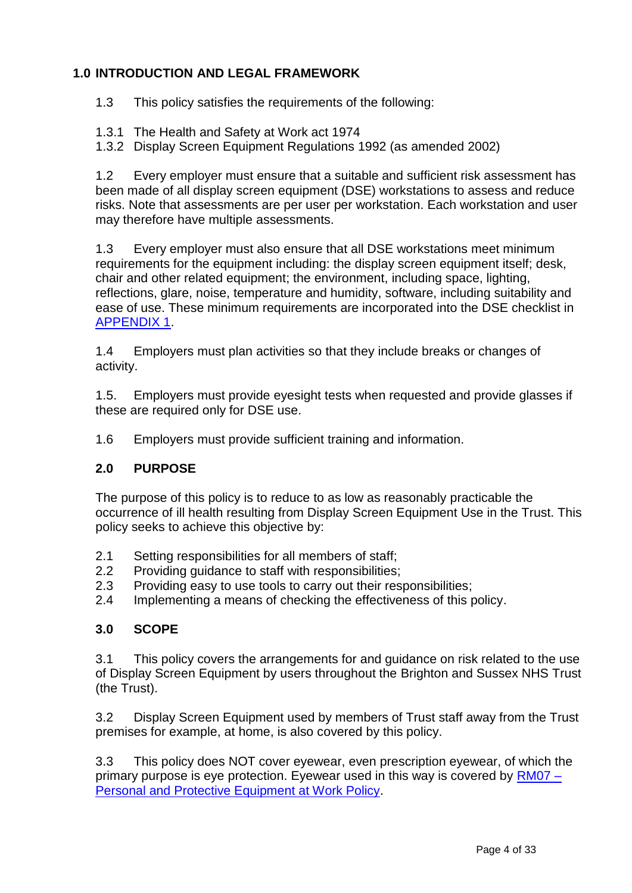# **1.0 INTRODUCTION AND LEGAL FRAMEWORK**

1.3 This policy satisfies the requirements of the following:

1.3.1 The Health and Safety at Work act 1974

1.3.2 Display Screen Equipment Regulations 1992 (as amended 2002)

1.2 Every employer must ensure that a suitable and sufficient risk assessment has been made of all display screen equipment (DSE) workstations to assess and reduce risks. Note that assessments are per user per workstation. Each workstation and user may therefore have multiple assessments.

1.3 Every employer must also ensure that all DSE workstations meet minimum requirements for the equipment including: the display screen equipment itself; desk, chair and other related equipment; the environment, including space, lighting, reflections, glare, noise, temperature and humidity, software, including suitability and ease of use. These minimum requirements are incorporated into the DSE checklist in [APPENDIX 1.](http://nww.bsuh.nhs.uk/policies/?ignoreeveryonegroup=0&assetdetesctl3568987=154767&search=form&searchcontent=0)

1.4 Employers must plan activities so that they include breaks or changes of activity.

1.5. Employers must provide eyesight tests when requested and provide glasses if these are required only for DSE use.

1.6 Employers must provide sufficient training and information.

## **2.0 PURPOSE**

The purpose of this policy is to reduce to as low as reasonably practicable the occurrence of ill health resulting from Display Screen Equipment Use in the Trust. This policy seeks to achieve this objective by:

- 2.1 Setting responsibilities for all members of staff;
- 2.2 Providing guidance to staff with responsibilities;
- 2.3 Providing easy to use tools to carry out their responsibilities;
- 2.4 Implementing a means of checking the effectiveness of this policy.

## **3.0 SCOPE**

3.1 This policy covers the arrangements for and guidance on risk related to the use of Display Screen Equipment by users throughout the Brighton and Sussex NHS Trust (the Trust).

3.2 Display Screen Equipment used by members of Trust staff away from the Trust premises for example, at home, is also covered by this policy.

3.3 This policy does NOT cover eyewear, even prescription eyewear, of which the primary purpose is eye protection. Evewear used in this way is covered by [RM07 –](http://nww.bsuh.nhs.uk/policies/?ignoreeveryonegroup=0&assetdetesctl3568987=53781&search=rm07&searchcontent=0) [Personal and Protective Equipment at Work Policy.](http://nww.bsuh.nhs.uk/policies/?ignoreeveryonegroup=0&assetdetesctl3568987=53781&search=rm07&searchcontent=0)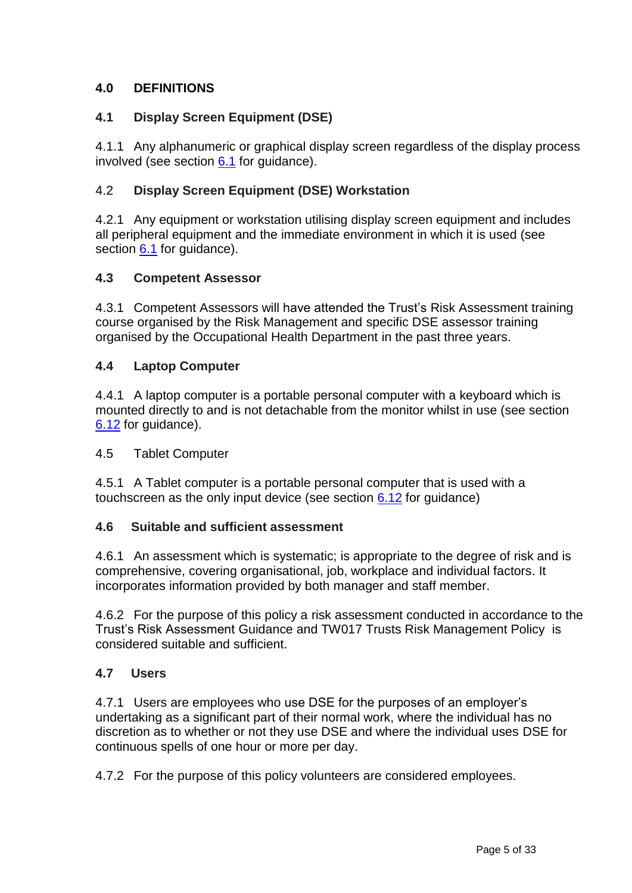# **4.0 DEFINITIONS**

# **4.1 Display Screen Equipment (DSE)**

4.1.1 Any alphanumeric or graphical display screen regardless of the display process involved (see section  $6.1$  for quidance).

# 4.2 **Display Screen Equipment (DSE) Workstation**

4.2.1 Any equipment or workstation utilising display screen equipment and includes all peripheral equipment and the immediate environment in which it is used (see section [6.1](#page-8-0) for guidance).

## <span id="page-4-0"></span>**4.3 Competent Assessor**

4.3.1 Competent Assessors will have attended the Trust's Risk Assessment training course organised by the Risk Management and specific DSE assessor training organised by the Occupational Health Department in the past three years.

## **4.4 Laptop Computer**

4.4.1 A laptop computer is a portable personal computer with a keyboard which is mounted directly to and is not detachable from the monitor whilst in use (see section [6.12](#page-10-0) for guidance).

## 4.5 Tablet Computer

4.5.1 A Tablet computer is a portable personal computer that is used with a touchscreen as the only input device (see section [6.12](#page-10-0) for guidance)

## **4.6 Suitable and sufficient assessment**

4.6.1 An assessment which is systematic; is appropriate to the degree of risk and is comprehensive, covering organisational, job, workplace and individual factors. It incorporates information provided by both manager and staff member.

4.6.2 For the purpose of this policy a risk assessment conducted in accordance to the Trust's Risk Assessment Guidance and TW017 Trusts Risk Management Policy is considered suitable and sufficient.

## **4.7 Users**

4.7.1 Users are employees who use DSE for the purposes of an employer's undertaking as a significant part of their normal work, where the individual has no discretion as to whether or not they use DSE and where the individual uses DSE for continuous spells of one hour or more per day.

4.7.2 For the purpose of this policy volunteers are considered employees.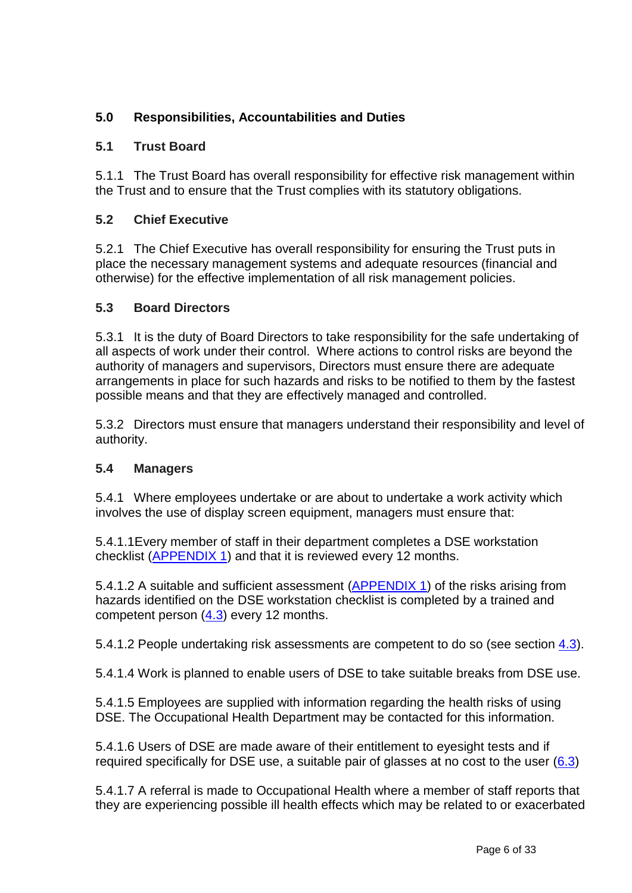# **5.0 Responsibilities, Accountabilities and Duties**

# **5.1 Trust Board**

5.1.1 The Trust Board has overall responsibility for effective risk management within the Trust and to ensure that the Trust complies with its statutory obligations.

## **5.2 Chief Executive**

5.2.1 The Chief Executive has overall responsibility for ensuring the Trust puts in place the necessary management systems and adequate resources (financial and otherwise) for the effective implementation of all risk management policies.

## **5.3 Board Directors**

5.3.1 It is the duty of Board Directors to take responsibility for the safe undertaking of all aspects of work under their control. Where actions to control risks are beyond the authority of managers and supervisors, Directors must ensure there are adequate arrangements in place for such hazards and risks to be notified to them by the fastest possible means and that they are effectively managed and controlled.

5.3.2 Directors must ensure that managers understand their responsibility and level of authority.

# **5.4 Managers**

5.4.1 Where employees undertake or are about to undertake a work activity which involves the use of display screen equipment, managers must ensure that:

5.4.1.1Every member of staff in their department completes a DSE workstation checklist [\(APPENDIX 1\)](http://nww.bsuh.nhs.uk/policies/?ignoreeveryonegroup=0&assetdetesctl3568987=154767&search=form&searchcontent=0) and that it is reviewed every 12 months.

5.4.1.2 A suitable and sufficient assessment [\(APPENDIX 1\)](http://nww.bsuh.nhs.uk/policies/?ignoreeveryonegroup=0&assetdetesctl3568987=154767&search=form&searchcontent=0) of the risks arising from hazards identified on the DSE workstation checklist is completed by a trained and competent person [\(4.3\)](#page-4-0) every 12 months.

5.4.1.2 People undertaking risk assessments are competent to do so (see section [4.3\)](#page-4-0).

5.4.1.4 Work is planned to enable users of DSE to take suitable breaks from DSE use.

5.4.1.5 Employees are supplied with information regarding the health risks of using DSE. The Occupational Health Department may be contacted for this information.

5.4.1.6 Users of DSE are made aware of their entitlement to eyesight tests and if required specifically for DSE use, a suitable pair of glasses at no cost to the user [\(6.3\)](#page-8-1)

5.4.1.7 A referral is made to Occupational Health where a member of staff reports that they are experiencing possible ill health effects which may be related to or exacerbated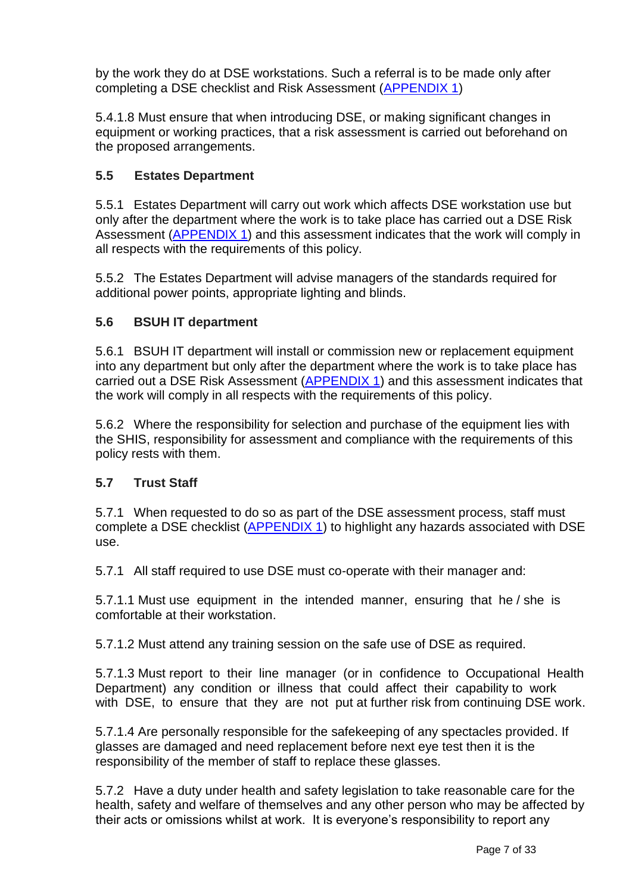by the work they do at DSE workstations. Such a referral is to be made only after completing a DSE checklist and Risk Assessment [\(APPENDIX 1\)](http://nww.bsuh.nhs.uk/policies/?ignoreeveryonegroup=0&assetdetesctl3568987=154767&search=form&searchcontent=0)

5.4.1.8 Must ensure that when introducing DSE, or making significant changes in equipment or working practices, that a risk assessment is carried out beforehand on the proposed arrangements.

# <span id="page-6-0"></span>**5.5 Estates Department**

5.5.1 Estates Department will carry out work which affects DSE workstation use but only after the department where the work is to take place has carried out a DSE Risk Assessment [\(APPENDIX 1\)](http://nww.bsuh.nhs.uk/policies/?ignoreeveryonegroup=0&assetdetesctl3568987=154767&search=form&searchcontent=0) and this assessment indicates that the work will comply in all respects with the requirements of this policy.

5.5.2 The Estates Department will advise managers of the standards required for additional power points, appropriate lighting and blinds.

# <span id="page-6-1"></span>**5.6 BSUH IT department**

5.6.1 BSUH IT department will install or commission new or replacement equipment into any department but only after the department where the work is to take place has carried out a DSE Risk Assessment [\(APPENDIX 1\)](http://nww.bsuh.nhs.uk/policies/?ignoreeveryonegroup=0&assetdetesctl3568987=154767&search=form&searchcontent=0) and this assessment indicates that the work will comply in all respects with the requirements of this policy.

5.6.2 Where the responsibility for selection and purchase of the equipment lies with the SHIS, responsibility for assessment and compliance with the requirements of this policy rests with them.

# **5.7 Trust Staff**

5.7.1 When requested to do so as part of the DSE assessment process, staff must complete a DSE checklist [\(APPENDIX 1\)](http://nww.bsuh.nhs.uk/policies/?ignoreeveryonegroup=0&assetdetesctl3568987=154767&search=form&searchcontent=0) to highlight any hazards associated with DSE use.

5.7.1 All staff required to use DSE must co-operate with their manager and:

5.7.1.1 Must use equipment in the intended manner, ensuring that he / she is comfortable at their workstation.

5.7.1.2 Must attend any training session on the safe use of DSE as required.

5.7.1.3 Must report to their line manager (or in confidence to Occupational Health Department) any condition or illness that could affect their capability to work with DSE, to ensure that they are not put at further risk from continuing DSE work.

5.7.1.4 Are personally responsible for the safekeeping of any spectacles provided. If glasses are damaged and need replacement before next eye test then it is the responsibility of the member of staff to replace these glasses.

5.7.2 Have a duty under health and safety legislation to take reasonable care for the health, safety and welfare of themselves and any other person who may be affected by their acts or omissions whilst at work. It is everyone's responsibility to report any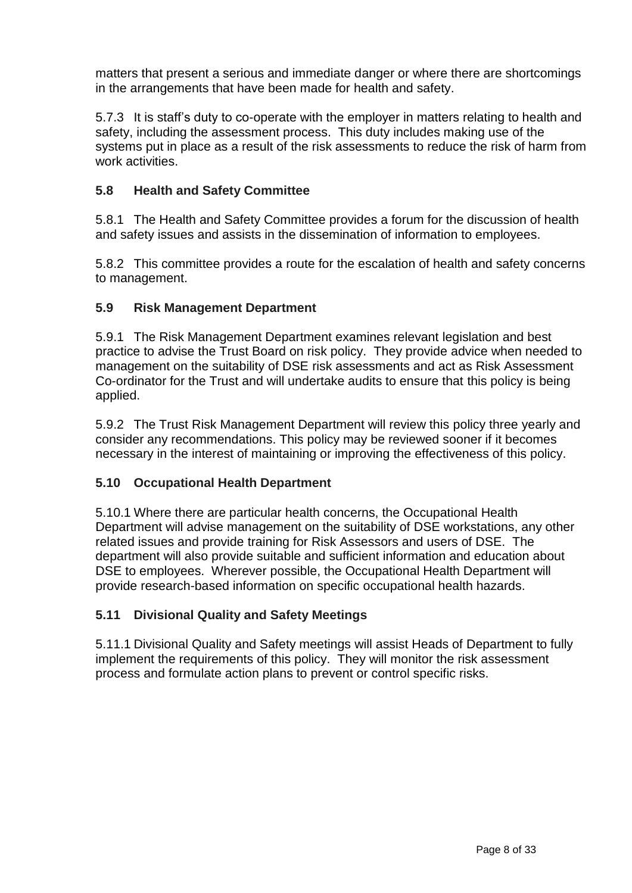matters that present a serious and immediate danger or where there are shortcomings in the arrangements that have been made for health and safety.

5.7.3 It is staff's duty to co-operate with the employer in matters relating to health and safety, including the assessment process. This duty includes making use of the systems put in place as a result of the risk assessments to reduce the risk of harm from work activities

# **5.8 Health and Safety Committee**

5.8.1 The Health and Safety Committee provides a forum for the discussion of health and safety issues and assists in the dissemination of information to employees.

5.8.2 This committee provides a route for the escalation of health and safety concerns to management.

## **5.9 Risk Management Department**

5.9.1 The Risk Management Department examines relevant legislation and best practice to advise the Trust Board on risk policy. They provide advice when needed to management on the suitability of DSE risk assessments and act as Risk Assessment Co-ordinator for the Trust and will undertake audits to ensure that this policy is being applied.

5.9.2 The Trust Risk Management Department will review this policy three yearly and consider any recommendations. This policy may be reviewed sooner if it becomes necessary in the interest of maintaining or improving the effectiveness of this policy.

## **5.10 Occupational Health Department**

5.10.1 Where there are particular health concerns, the Occupational Health Department will advise management on the suitability of DSE workstations, any other related issues and provide training for Risk Assessors and users of DSE. The department will also provide suitable and sufficient information and education about DSE to employees. Wherever possible, the Occupational Health Department will provide research-based information on specific occupational health hazards.

# **5.11 Divisional Quality and Safety Meetings**

5.11.1 Divisional Quality and Safety meetings will assist Heads of Department to fully implement the requirements of this policy. They will monitor the risk assessment process and formulate action plans to prevent or control specific risks.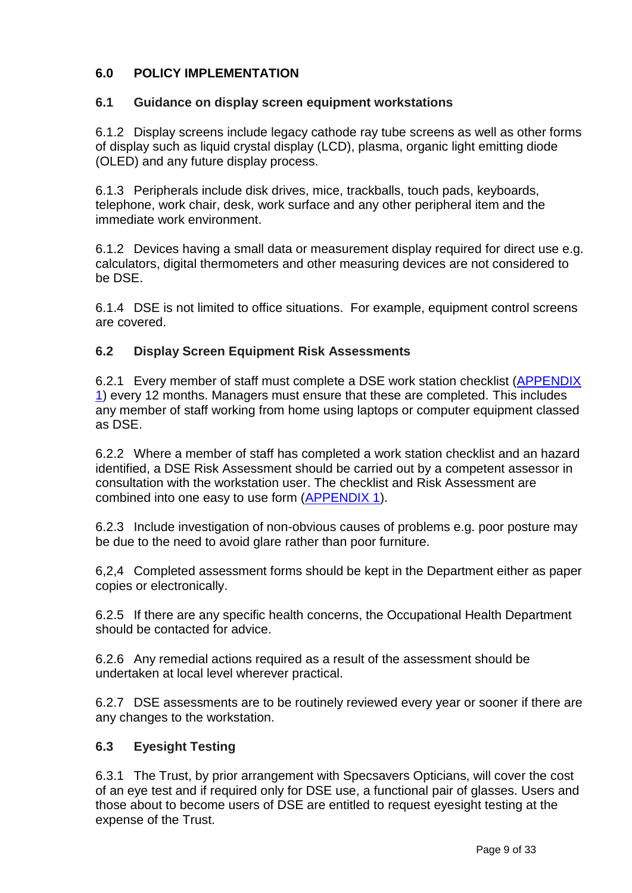# **6.0 POLICY IMPLEMENTATION**

## <span id="page-8-0"></span>**6.1 Guidance on display screen equipment workstations**

6.1.2 Display screens include legacy cathode ray tube screens as well as other forms of display such as liquid crystal display (LCD), plasma, organic light emitting diode (OLED) and any future display process.

6.1.3 Peripherals include disk drives, mice, trackballs, touch pads, keyboards, telephone, work chair, desk, work surface and any other peripheral item and the immediate work environment.

6.1.2 Devices having a small data or measurement display required for direct use e.g. calculators, digital thermometers and other measuring devices are not considered to be DSE.

6.1.4 DSE is not limited to office situations. For example, equipment control screens are covered.

## **6.2 Display Screen Equipment Risk Assessments**

6.2.1 Every member of staff must complete a DSE work station checklist [\(APPENDIX](http://nww.bsuh.nhs.uk/policies/?ignoreeveryonegroup=0&assetdetesctl3568987=154767&search=form&searchcontent=0)  [1\)](http://nww.bsuh.nhs.uk/policies/?ignoreeveryonegroup=0&assetdetesctl3568987=154767&search=form&searchcontent=0) every 12 months. Managers must ensure that these are completed. This includes any member of staff working from home using laptops or computer equipment classed as DSE.

6.2.2 Where a member of staff has completed a work station checklist and an hazard identified, a DSE Risk Assessment should be carried out by a competent assessor in consultation with the workstation user. The checklist and Risk Assessment are combined into one easy to use form [\(APPENDIX 1\)](http://nww.bsuh.nhs.uk/policies/?ignoreeveryonegroup=0&assetdetesctl3568987=154767&search=form&searchcontent=0).

6.2.3 Include investigation of non-obvious causes of problems e.g. poor posture may be due to the need to avoid glare rather than poor furniture.

6,2,4 Completed assessment forms should be kept in the Department either as paper copies or electronically.

6.2.5 If there are any specific health concerns, the Occupational Health Department should be contacted for advice.

6.2.6 Any remedial actions required as a result of the assessment should be undertaken at local level wherever practical.

6.2.7 DSE assessments are to be routinely reviewed every year or sooner if there are any changes to the workstation.

## <span id="page-8-1"></span>**6.3 Eyesight Testing**

6.3.1 The Trust, by prior arrangement with Specsavers Opticians, will cover the cost of an eye test and if required only for DSE use, a functional pair of glasses. Users and those about to become users of DSE are entitled to request eyesight testing at the expense of the Trust.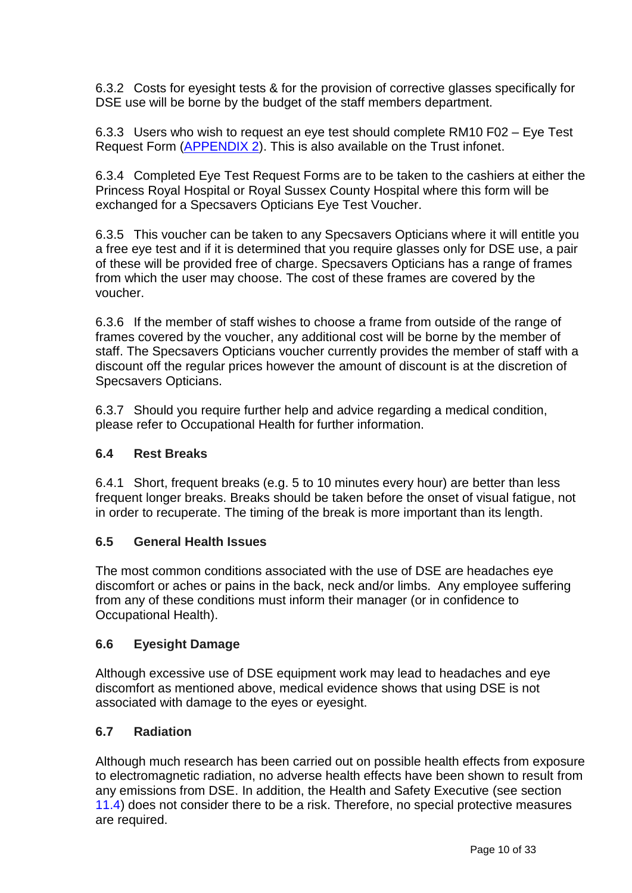6.3.2 Costs for eyesight tests & for the provision of corrective glasses specifically for DSE use will be borne by the budget of the staff members department.

6.3.3 Users who wish to request an eye test should complete RM10 F02 – Eye Test Request Form [\(APPENDIX 2\)](http://nww.bsuh.nhs.uk/policies/?ignoreeveryonegroup=0&assetdetesctl3568987=154766&search=form&searchcontent=0). This is also available on the Trust infonet.

6.3.4 Completed Eye Test Request Forms are to be taken to the cashiers at either the Princess Royal Hospital or Royal Sussex County Hospital where this form will be exchanged for a Specsavers Opticians Eye Test Voucher.

6.3.5 This voucher can be taken to any Specsavers Opticians where it will entitle you a free eye test and if it is determined that you require glasses only for DSE use, a pair of these will be provided free of charge. Specsavers Opticians has a range of frames from which the user may choose. The cost of these frames are covered by the voucher.

6.3.6 If the member of staff wishes to choose a frame from outside of the range of frames covered by the voucher, any additional cost will be borne by the member of staff. The Specsavers Opticians voucher currently provides the member of staff with a discount off the regular prices however the amount of discount is at the discretion of Specsavers Opticians.

6.3.7 Should you require further help and advice regarding a medical condition, please refer to Occupational Health for further information.

# **6.4 Rest Breaks**

6.4.1 Short, frequent breaks (e.g. 5 to 10 minutes every hour) are better than less frequent longer breaks. Breaks should be taken before the onset of visual fatigue, not in order to recuperate. The timing of the break is more important than its length.

## **6.5 General Health Issues**

The most common conditions associated with the use of DSE are headaches eye discomfort or aches or pains in the back, neck and/or limbs. Any employee suffering from any of these conditions must inform their manager (or in confidence to Occupational Health).

# **6.6 Eyesight Damage**

Although excessive use of DSE equipment work may lead to headaches and eye discomfort as mentioned above, medical evidence shows that using DSE is not associated with damage to the eyes or eyesight.

# **6.7 Radiation**

Although much research has been carried out on possible health effects from exposure to electromagnetic radiation, no adverse health effects have been shown to result from any emissions from DSE. In addition, the Health and Safety Executive (see section 11.4) does not consider there to be a risk. Therefore, no special protective measures are required.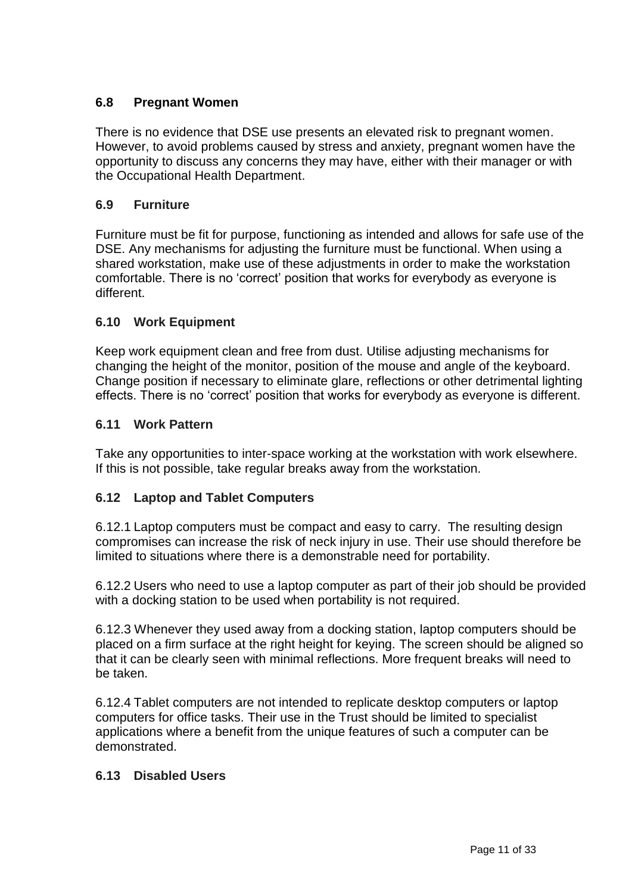# **6.8 Pregnant Women**

There is no evidence that DSE use presents an elevated risk to pregnant women. However, to avoid problems caused by stress and anxiety, pregnant women have the opportunity to discuss any concerns they may have, either with their manager or with the Occupational Health Department.

# **6.9 Furniture**

Furniture must be fit for purpose, functioning as intended and allows for safe use of the DSE. Any mechanisms for adjusting the furniture must be functional. When using a shared workstation, make use of these adjustments in order to make the workstation comfortable. There is no 'correct' position that works for everybody as everyone is different.

## **6.10 Work Equipment**

Keep work equipment clean and free from dust. Utilise adjusting mechanisms for changing the height of the monitor, position of the mouse and angle of the keyboard. Change position if necessary to eliminate glare, reflections or other detrimental lighting effects. There is no 'correct' position that works for everybody as everyone is different.

## **6.11 Work Pattern**

Take any opportunities to inter-space working at the workstation with work elsewhere. If this is not possible, take regular breaks away from the workstation.

## <span id="page-10-0"></span>**6.12 Laptop and Tablet Computers**

6.12.1 Laptop computers must be compact and easy to carry. The resulting design compromises can increase the risk of neck injury in use. Their use should therefore be limited to situations where there is a demonstrable need for portability.

6.12.2 Users who need to use a laptop computer as part of their job should be provided with a docking station to be used when portability is not required.

6.12.3 Whenever they used away from a docking station, laptop computers should be placed on a firm surface at the right height for keying. The screen should be aligned so that it can be clearly seen with minimal reflections. More frequent breaks will need to be taken.

6.12.4 Tablet computers are not intended to replicate desktop computers or laptop computers for office tasks. Their use in the Trust should be limited to specialist applications where a benefit from the unique features of such a computer can be demonstrated.

## **6.13 Disabled Users**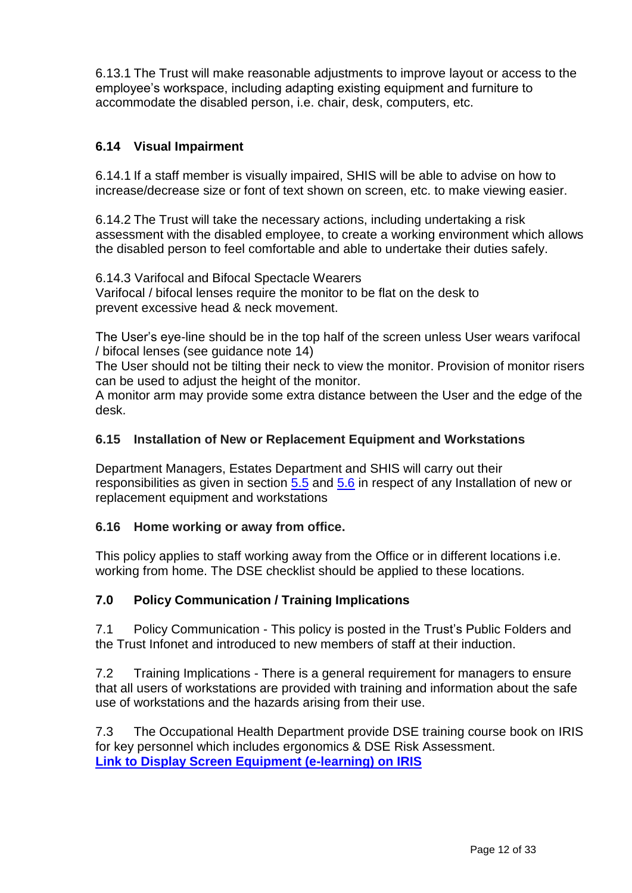6.13.1 The Trust will make reasonable adjustments to improve layout or access to the employee's workspace, including adapting existing equipment and furniture to accommodate the disabled person, i.e. chair, desk, computers, etc.

# **6.14 Visual Impairment**

6.14.1 If a staff member is visually impaired, SHIS will be able to advise on how to increase/decrease size or font of text shown on screen, etc. to make viewing easier.

6.14.2 The Trust will take the necessary actions, including undertaking a risk assessment with the disabled employee, to create a working environment which allows the disabled person to feel comfortable and able to undertake their duties safely.

6.14.3 Varifocal and Bifocal Spectacle Wearers Varifocal / bifocal lenses require the monitor to be flat on the desk to prevent excessive head & neck movement.

The User's eye-line should be in the top half of the screen unless User wears varifocal / bifocal lenses (see guidance note 14)

The User should not be tilting their neck to view the monitor. Provision of monitor risers can be used to adjust the height of the monitor.

A monitor arm may provide some extra distance between the User and the edge of the desk.

#### **6.15 Installation of New or Replacement Equipment and Workstations**

Department Managers, Estates Department and SHIS will carry out their responsibilities as given in section [5.5](#page-6-0) and [5.6](#page-6-1) in respect of any Installation of new or replacement equipment and workstations

## **6.16 Home working or away from office.**

This policy applies to staff working away from the Office or in different locations i.e. working from home. The DSE checklist should be applied to these locations.

## **7.0 Policy Communication / Training Implications**

7.1 Policy Communication - This policy is posted in the Trust's Public Folders and the Trust Infonet and introduced to new members of staff at their induction.

7.2 Training Implications - There is a general requirement for managers to ensure that all users of workstations are provided with training and information about the safe use of workstations and the hazards arising from their use.

7.3 The Occupational Health Department provide DSE training course book on IRIS for key personnel which includes ergonomics & DSE Risk Assessment. **[Link to Display Screen Equipment \(e-learning\) on IRIS](https://iris.bsuh.nhs.uk/course/view.php?id=104)**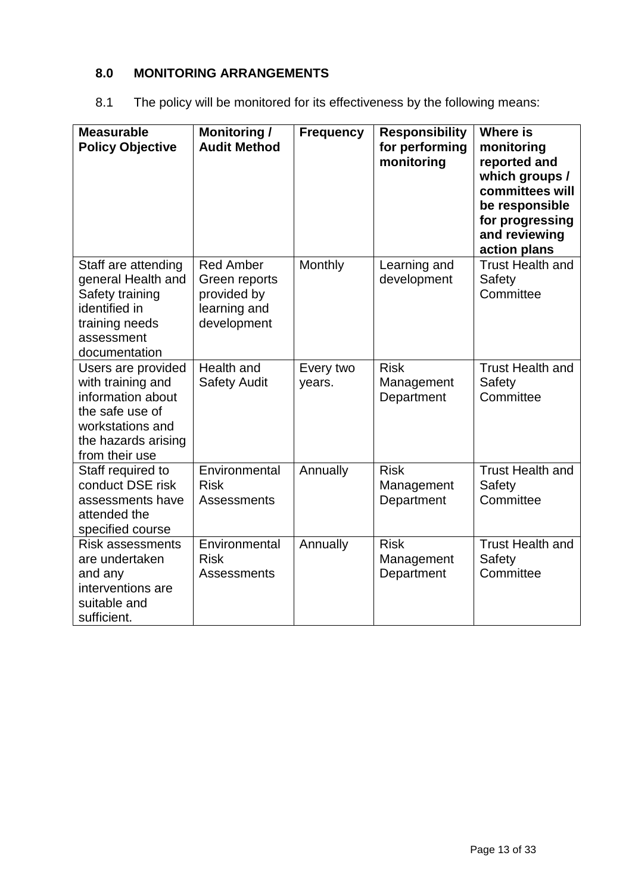# **8.0 MONITORING ARRANGEMENTS**

| 8.1 | The policy will be monitored for its effectiveness by the following means: |
|-----|----------------------------------------------------------------------------|
|     |                                                                            |

| <b>Measurable</b><br><b>Policy Objective</b>                                                                                                 | <b>Monitoring /</b><br><b>Audit Method</b>                                      | <b>Frequency</b>    | <b>Responsibility</b><br>for performing<br>monitoring | <b>Where is</b><br>monitoring<br>reported and<br>which groups /<br>committees will<br>be responsible<br>for progressing<br>and reviewing<br>action plans |
|----------------------------------------------------------------------------------------------------------------------------------------------|---------------------------------------------------------------------------------|---------------------|-------------------------------------------------------|----------------------------------------------------------------------------------------------------------------------------------------------------------|
| Staff are attending<br>general Health and<br>Safety training<br>identified in<br>training needs<br>assessment<br>documentation               | <b>Red Amber</b><br>Green reports<br>provided by<br>learning and<br>development | Monthly             | Learning and<br>development                           | <b>Trust Health and</b><br>Safety<br>Committee                                                                                                           |
| Users are provided<br>with training and<br>information about<br>the safe use of<br>workstations and<br>the hazards arising<br>from their use | Health and<br><b>Safety Audit</b>                                               | Every two<br>years. | <b>Risk</b><br>Management<br>Department               | <b>Trust Health and</b><br>Safety<br>Committee                                                                                                           |
| Staff required to<br>conduct DSE risk<br>assessments have<br>attended the<br>specified course                                                | Environmental<br><b>Risk</b><br>Assessments                                     | Annually            | <b>Risk</b><br>Management<br>Department               | <b>Trust Health and</b><br>Safety<br>Committee                                                                                                           |
| <b>Risk assessments</b><br>are undertaken<br>and any<br>interventions are<br>suitable and<br>sufficient.                                     | Environmental<br><b>Risk</b><br><b>Assessments</b>                              | Annually            | <b>Risk</b><br>Management<br>Department               | <b>Trust Health and</b><br>Safety<br>Committee                                                                                                           |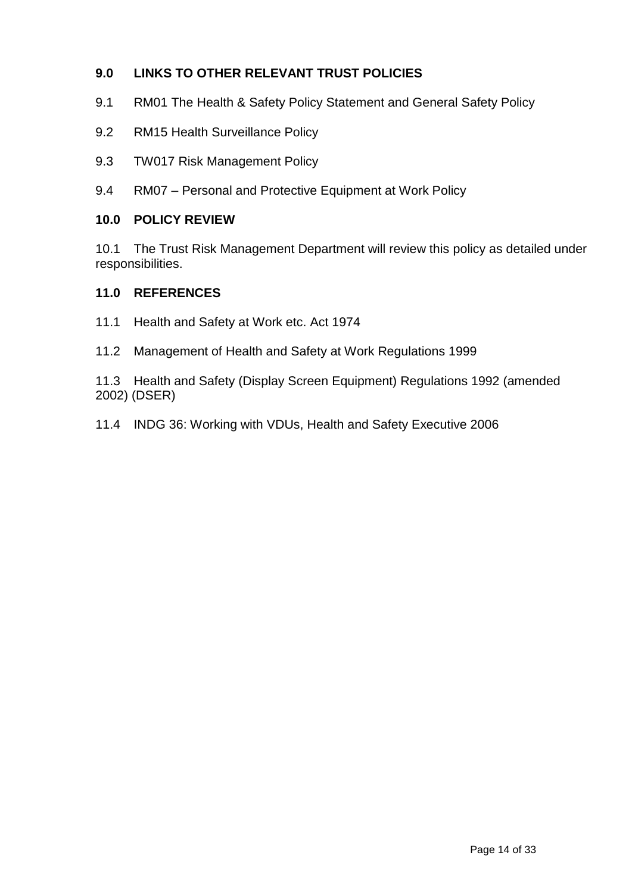# **9.0 LINKS TO OTHER RELEVANT TRUST POLICIES**

- 9.1 RM01 The Health & Safety Policy Statement and General Safety Policy
- 9.2 RM15 Health Surveillance Policy
- 9.3 TW017 Risk Management Policy
- 9.4 RM07 Personal and Protective Equipment at Work Policy

# **10.0 POLICY REVIEW**

10.1 The Trust Risk Management Department will review this policy as detailed under responsibilities.

## **11.0 REFERENCES**

- 11.1 Health and Safety at Work etc. Act 1974
- 11.2 Management of Health and Safety at Work Regulations 1999
- 11.3 Health and Safety (Display Screen Equipment) Regulations 1992 (amended 2002) (DSER)
- 11.4 INDG 36: Working with VDUs, Health and Safety Executive 2006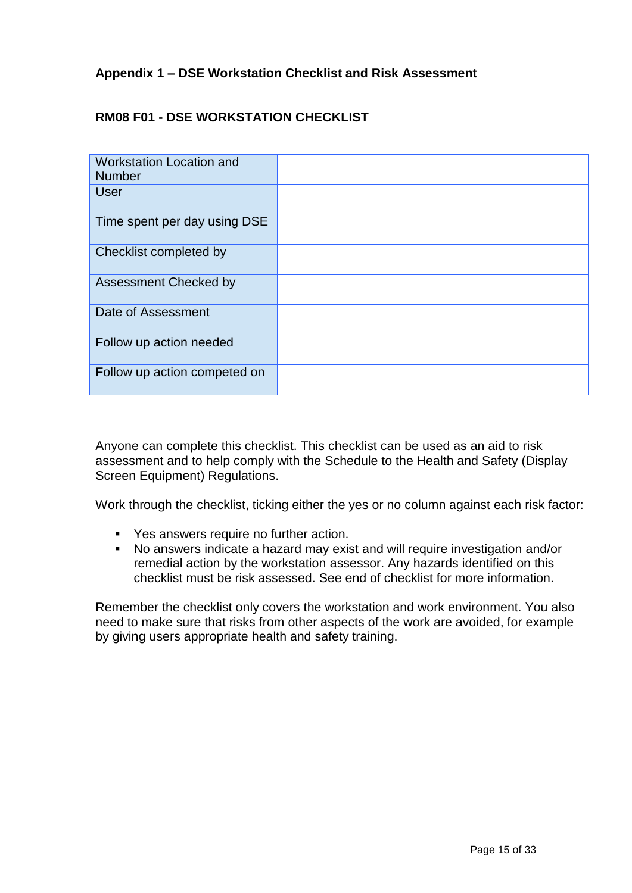# **Appendix 1 – DSE Workstation Checklist and Risk Assessment**

# **RM08 F01 - DSE WORKSTATION CHECKLIST**

| <b>Workstation Location and</b><br><b>Number</b> |  |
|--------------------------------------------------|--|
| <b>User</b>                                      |  |
| Time spent per day using DSE                     |  |
| Checklist completed by                           |  |
| <b>Assessment Checked by</b>                     |  |
| Date of Assessment                               |  |
| Follow up action needed                          |  |
| Follow up action competed on                     |  |

Anyone can complete this checklist. This checklist can be used as an aid to risk assessment and to help comply with the Schedule to the Health and Safety (Display Screen Equipment) Regulations.

Work through the checklist, ticking either the yes or no column against each risk factor:

- Yes answers require no further action.<br>■ No answers indicate a hazard may exis
- No answers indicate a hazard may exist and will require investigation and/or remedial action by the workstation assessor. Any hazards identified on this checklist must be risk assessed. See end of checklist for more information.

Remember the checklist only covers the workstation and work environment. You also need to make sure that risks from other aspects of the work are avoided, for example by giving users appropriate health and safety training.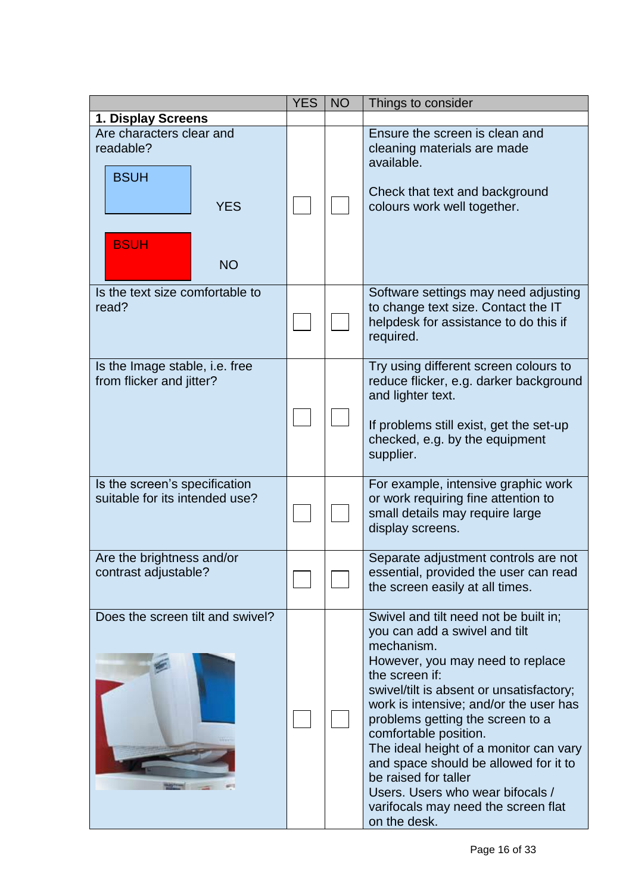|                                                                                                | <b>YES</b> | <b>NO</b> | Things to consider                                                                                                                                                                                                                                                                                                                                                                                                                                                                                  |
|------------------------------------------------------------------------------------------------|------------|-----------|-----------------------------------------------------------------------------------------------------------------------------------------------------------------------------------------------------------------------------------------------------------------------------------------------------------------------------------------------------------------------------------------------------------------------------------------------------------------------------------------------------|
| 1. Display Screens                                                                             |            |           |                                                                                                                                                                                                                                                                                                                                                                                                                                                                                                     |
| Are characters clear and<br>readable?<br><b>BSUH</b><br><b>YES</b><br><b>BSUH</b><br><b>NO</b> |            |           | Ensure the screen is clean and<br>cleaning materials are made<br>available.<br>Check that text and background<br>colours work well together.                                                                                                                                                                                                                                                                                                                                                        |
| Is the text size comfortable to<br>read?                                                       |            |           | Software settings may need adjusting<br>to change text size. Contact the IT<br>helpdesk for assistance to do this if<br>required.                                                                                                                                                                                                                                                                                                                                                                   |
| Is the Image stable, i.e. free<br>from flicker and jitter?                                     |            |           | Try using different screen colours to<br>reduce flicker, e.g. darker background<br>and lighter text.<br>If problems still exist, get the set-up<br>checked, e.g. by the equipment<br>supplier.                                                                                                                                                                                                                                                                                                      |
| Is the screen's specification<br>suitable for its intended use?                                |            |           | For example, intensive graphic work<br>or work requiring fine attention to<br>small details may require large<br>display screens.                                                                                                                                                                                                                                                                                                                                                                   |
| Are the brightness and/or<br>contrast adjustable?                                              |            |           | Separate adjustment controls are not<br>essential, provided the user can read<br>the screen easily at all times.                                                                                                                                                                                                                                                                                                                                                                                    |
| Does the screen tilt and swivel?                                                               |            |           | Swivel and tilt need not be built in;<br>you can add a swivel and tilt<br>mechanism.<br>However, you may need to replace<br>the screen if:<br>swivel/tilt is absent or unsatisfactory;<br>work is intensive; and/or the user has<br>problems getting the screen to a<br>comfortable position.<br>The ideal height of a monitor can vary<br>and space should be allowed for it to<br>be raised for taller<br>Users. Users who wear bifocals /<br>varifocals may need the screen flat<br>on the desk. |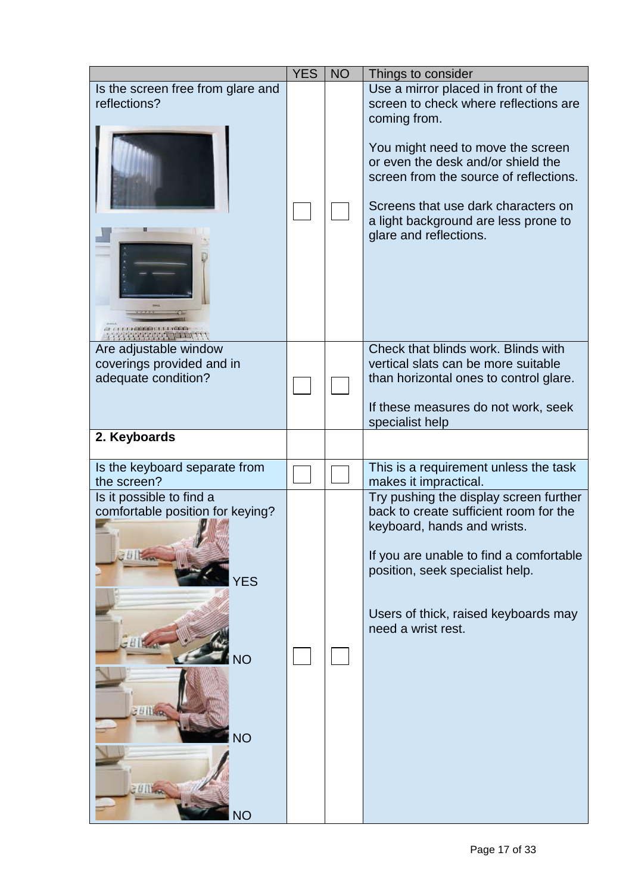|                                                                                                                                         | <b>YES</b> | <b>NO</b> | Things to consider                                                                                                                                                                                                                                                                                                         |
|-----------------------------------------------------------------------------------------------------------------------------------------|------------|-----------|----------------------------------------------------------------------------------------------------------------------------------------------------------------------------------------------------------------------------------------------------------------------------------------------------------------------------|
| Is the screen free from glare and<br>reflections?                                                                                       |            |           | Use a mirror placed in front of the<br>screen to check where reflections are<br>coming from.<br>You might need to move the screen<br>or even the desk and/or shield the<br>screen from the source of reflections.<br>Screens that use dark characters on<br>a light background are less prone to<br>glare and reflections. |
| Are adjustable window<br>coverings provided and in<br>adequate condition?                                                               |            |           | Check that blinds work. Blinds with<br>vertical slats can be more suitable<br>than horizontal ones to control glare.<br>If these measures do not work, seek<br>specialist help                                                                                                                                             |
| 2. Keyboards                                                                                                                            |            |           |                                                                                                                                                                                                                                                                                                                            |
| Is the keyboard separate from<br>the screen?                                                                                            |            |           | This is a requirement unless the task<br>makes it impractical.                                                                                                                                                                                                                                                             |
| Is it possible to find a<br>comfortable position for keying?<br>20 Fra<br><b>YES</b><br><b>NO</b><br><b>Billiege</b><br>NО<br><b>NO</b> |            |           | Try pushing the display screen further<br>back to create sufficient room for the<br>keyboard, hands and wrists.<br>If you are unable to find a comfortable<br>position, seek specialist help.<br>Users of thick, raised keyboards may<br>need a wrist rest.                                                                |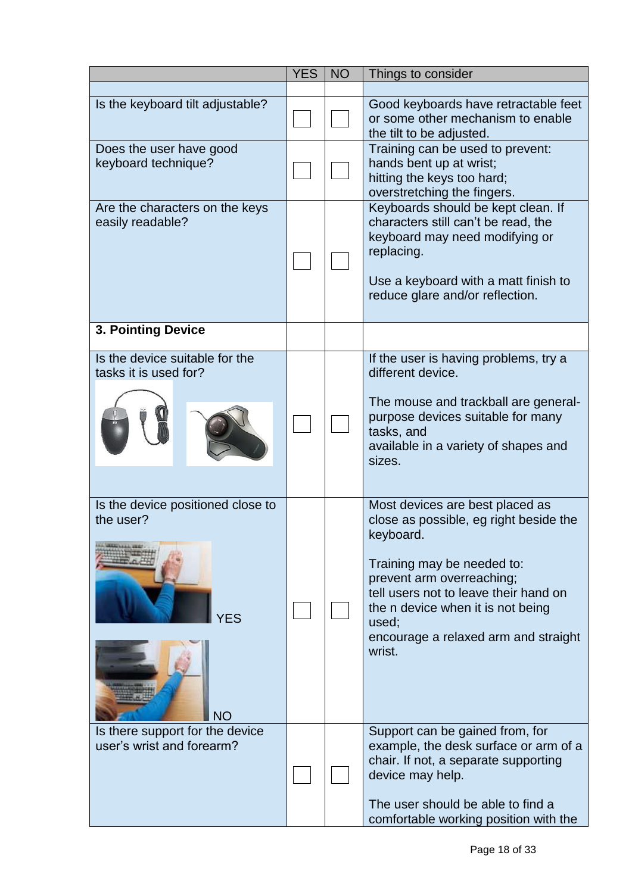|                                                                           | <b>YES</b> | <b>NO</b> | Things to consider                                                                                                                                                                                                                                                                         |
|---------------------------------------------------------------------------|------------|-----------|--------------------------------------------------------------------------------------------------------------------------------------------------------------------------------------------------------------------------------------------------------------------------------------------|
|                                                                           |            |           |                                                                                                                                                                                                                                                                                            |
| Is the keyboard tilt adjustable?                                          |            |           | Good keyboards have retractable feet<br>or some other mechanism to enable<br>the tilt to be adjusted.                                                                                                                                                                                      |
| Does the user have good<br>keyboard technique?                            |            |           | Training can be used to prevent:<br>hands bent up at wrist;<br>hitting the keys too hard;<br>overstretching the fingers.                                                                                                                                                                   |
| Are the characters on the keys<br>easily readable?                        |            |           | Keyboards should be kept clean. If<br>characters still can't be read, the<br>keyboard may need modifying or<br>replacing.<br>Use a keyboard with a matt finish to<br>reduce glare and/or reflection.                                                                                       |
| <b>3. Pointing Device</b>                                                 |            |           |                                                                                                                                                                                                                                                                                            |
| Is the device suitable for the<br>tasks it is used for?                   |            |           | If the user is having problems, try a<br>different device.<br>The mouse and trackball are general-<br>purpose devices suitable for many<br>tasks, and<br>available in a variety of shapes and<br>sizes.                                                                                    |
| Is the device positioned close to<br>the user?<br><b>YFS</b><br><b>NO</b> |            |           | Most devices are best placed as<br>close as possible, eg right beside the<br>keyboard.<br>Training may be needed to:<br>prevent arm overreaching;<br>tell users not to leave their hand on<br>the n device when it is not being<br>used:<br>encourage a relaxed arm and straight<br>wrist. |
| Is there support for the device<br>user's wrist and forearm?              |            |           | Support can be gained from, for<br>example, the desk surface or arm of a<br>chair. If not, a separate supporting<br>device may help.<br>The user should be able to find a<br>comfortable working position with the                                                                         |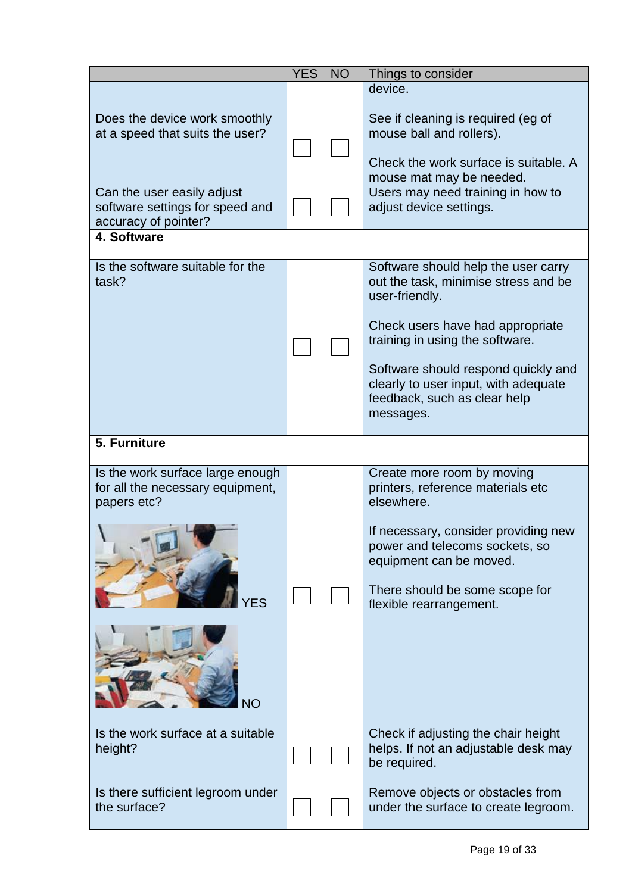|                                                                                           | <b>YES</b> | <b>NO</b> | Things to consider                                                                                                                                                                                                                                                                               |
|-------------------------------------------------------------------------------------------|------------|-----------|--------------------------------------------------------------------------------------------------------------------------------------------------------------------------------------------------------------------------------------------------------------------------------------------------|
|                                                                                           |            |           | device.                                                                                                                                                                                                                                                                                          |
| Does the device work smoothly<br>at a speed that suits the user?                          |            |           | See if cleaning is required (eg of<br>mouse ball and rollers).<br>Check the work surface is suitable. A<br>mouse mat may be needed.                                                                                                                                                              |
| Can the user easily adjust<br>software settings for speed and<br>accuracy of pointer?     |            |           | Users may need training in how to<br>adjust device settings.                                                                                                                                                                                                                                     |
| 4. Software                                                                               |            |           |                                                                                                                                                                                                                                                                                                  |
| Is the software suitable for the<br>task?                                                 |            |           | Software should help the user carry<br>out the task, minimise stress and be<br>user-friendly.<br>Check users have had appropriate<br>training in using the software.<br>Software should respond quickly and<br>clearly to user input, with adequate<br>feedback, such as clear help<br>messages. |
| 5. Furniture                                                                              |            |           |                                                                                                                                                                                                                                                                                                  |
| Is the work surface large enough<br>for all the necessary equipment,<br>papers etc?<br>FS |            |           | Create more room by moving<br>printers, reference materials etc<br>elsewhere.<br>If necessary, consider providing new<br>power and telecoms sockets, so<br>equipment can be moved.<br>There should be some scope for<br>flexible rearrangement.                                                  |
| Is the work surface at a suitable<br>height?                                              |            |           | Check if adjusting the chair height<br>helps. If not an adjustable desk may<br>be required.                                                                                                                                                                                                      |
| Is there sufficient legroom under<br>the surface?                                         |            |           | Remove objects or obstacles from<br>under the surface to create legroom.                                                                                                                                                                                                                         |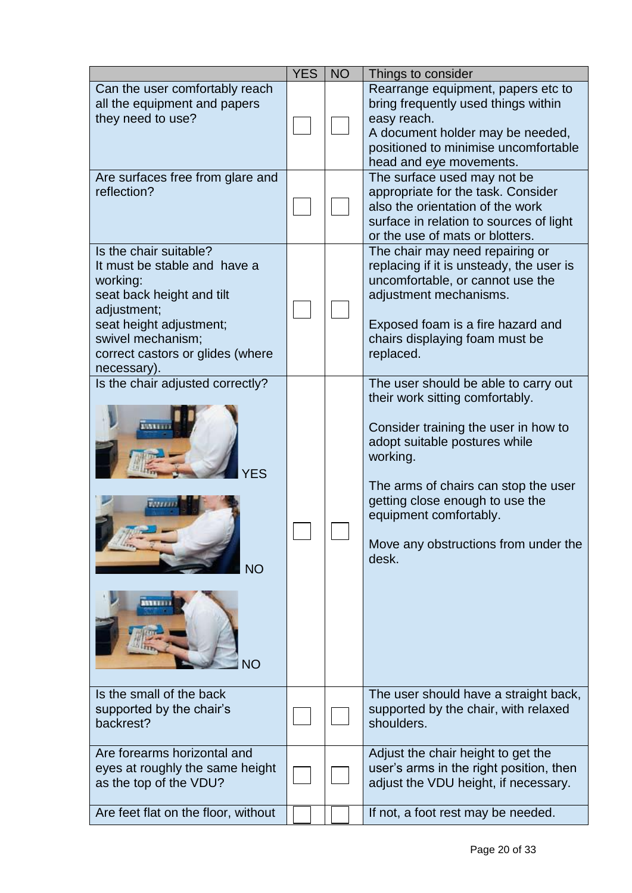|                                                                                                                                                                                                                   | <b>YES</b> | <b>NO</b> | Things to consider                                                                                                                                                                                                                                                                                                 |
|-------------------------------------------------------------------------------------------------------------------------------------------------------------------------------------------------------------------|------------|-----------|--------------------------------------------------------------------------------------------------------------------------------------------------------------------------------------------------------------------------------------------------------------------------------------------------------------------|
| Can the user comfortably reach<br>all the equipment and papers<br>they need to use?                                                                                                                               |            |           | Rearrange equipment, papers etc to<br>bring frequently used things within<br>easy reach.<br>A document holder may be needed,<br>positioned to minimise uncomfortable<br>head and eye movements.                                                                                                                    |
| Are surfaces free from glare and<br>reflection?                                                                                                                                                                   |            |           | The surface used may not be<br>appropriate for the task. Consider<br>also the orientation of the work<br>surface in relation to sources of light<br>or the use of mats or blotters.                                                                                                                                |
| Is the chair suitable?<br>It must be stable and have a<br>working:<br>seat back height and tilt<br>adjustment;<br>seat height adjustment;<br>swivel mechanism;<br>correct castors or glides (where<br>necessary). |            |           | The chair may need repairing or<br>replacing if it is unsteady, the user is<br>uncomfortable, or cannot use the<br>adjustment mechanisms.<br>Exposed foam is a fire hazard and<br>chairs displaying foam must be<br>replaced.                                                                                      |
| Is the chair adjusted correctly?<br><b>NO</b>                                                                                                                                                                     |            |           | The user should be able to carry out<br>their work sitting comfortably.<br>Consider training the user in how to<br>adopt suitable postures while<br>working.<br>The arms of chairs can stop the user<br>getting close enough to use the<br>equipment comfortably.<br>Move any obstructions from under the<br>desk. |
| Is the small of the back<br>supported by the chair's<br>backrest?                                                                                                                                                 |            |           | The user should have a straight back,<br>supported by the chair, with relaxed<br>shoulders.                                                                                                                                                                                                                        |
| Are forearms horizontal and<br>eyes at roughly the same height<br>as the top of the VDU?                                                                                                                          |            |           | Adjust the chair height to get the<br>user's arms in the right position, then<br>adjust the VDU height, if necessary.                                                                                                                                                                                              |
| Are feet flat on the floor, without                                                                                                                                                                               |            |           | If not, a foot rest may be needed.                                                                                                                                                                                                                                                                                 |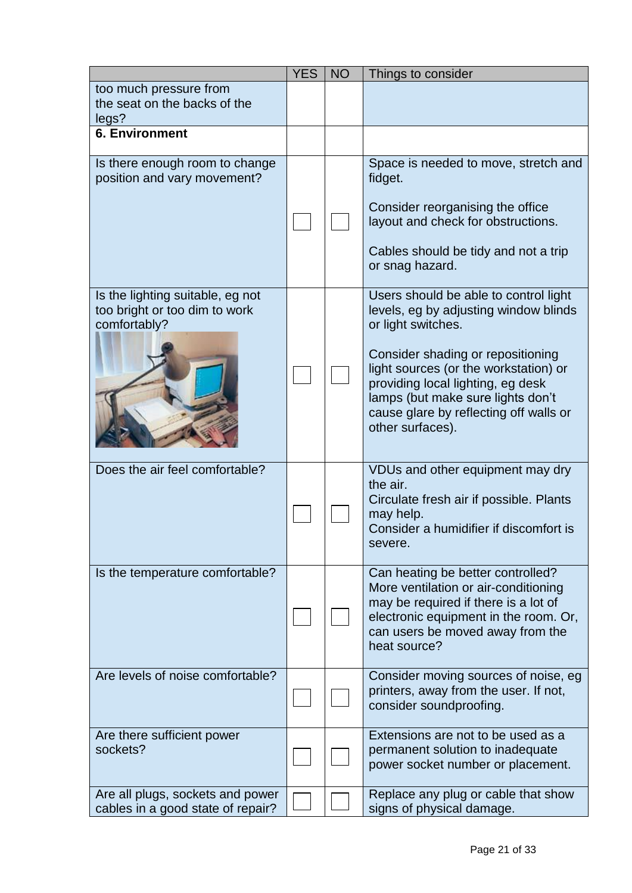|                                                                                   | <b>YES</b> | <b>NO</b> | Things to consider                                                                                                                                                                                                                                                                                                         |
|-----------------------------------------------------------------------------------|------------|-----------|----------------------------------------------------------------------------------------------------------------------------------------------------------------------------------------------------------------------------------------------------------------------------------------------------------------------------|
| too much pressure from<br>the seat on the backs of the<br>legs?                   |            |           |                                                                                                                                                                                                                                                                                                                            |
| <b>6. Environment</b>                                                             |            |           |                                                                                                                                                                                                                                                                                                                            |
| Is there enough room to change<br>position and vary movement?                     |            |           | Space is needed to move, stretch and<br>fidget.<br>Consider reorganising the office<br>layout and check for obstructions.<br>Cables should be tidy and not a trip<br>or snag hazard.                                                                                                                                       |
| Is the lighting suitable, eg not<br>too bright or too dim to work<br>comfortably? |            |           | Users should be able to control light<br>levels, eg by adjusting window blinds<br>or light switches.<br>Consider shading or repositioning<br>light sources (or the workstation) or<br>providing local lighting, eg desk<br>lamps (but make sure lights don't<br>cause glare by reflecting off walls or<br>other surfaces). |
| Does the air feel comfortable?                                                    |            |           | VDUs and other equipment may dry<br>the air.<br>Circulate fresh air if possible. Plants<br>may help.<br>Consider a humidifier if discomfort is<br>severe.                                                                                                                                                                  |
| Is the temperature comfortable?                                                   |            |           | Can heating be better controlled?<br>More ventilation or air-conditioning<br>may be required if there is a lot of<br>electronic equipment in the room. Or,<br>can users be moved away from the<br>heat source?                                                                                                             |
| Are levels of noise comfortable?                                                  |            |           | Consider moving sources of noise, eg<br>printers, away from the user. If not,<br>consider soundproofing.                                                                                                                                                                                                                   |
| Are there sufficient power<br>sockets?                                            |            |           | Extensions are not to be used as a<br>permanent solution to inadequate<br>power socket number or placement.                                                                                                                                                                                                                |
| Are all plugs, sockets and power<br>cables in a good state of repair?             |            |           | Replace any plug or cable that show<br>signs of physical damage.                                                                                                                                                                                                                                                           |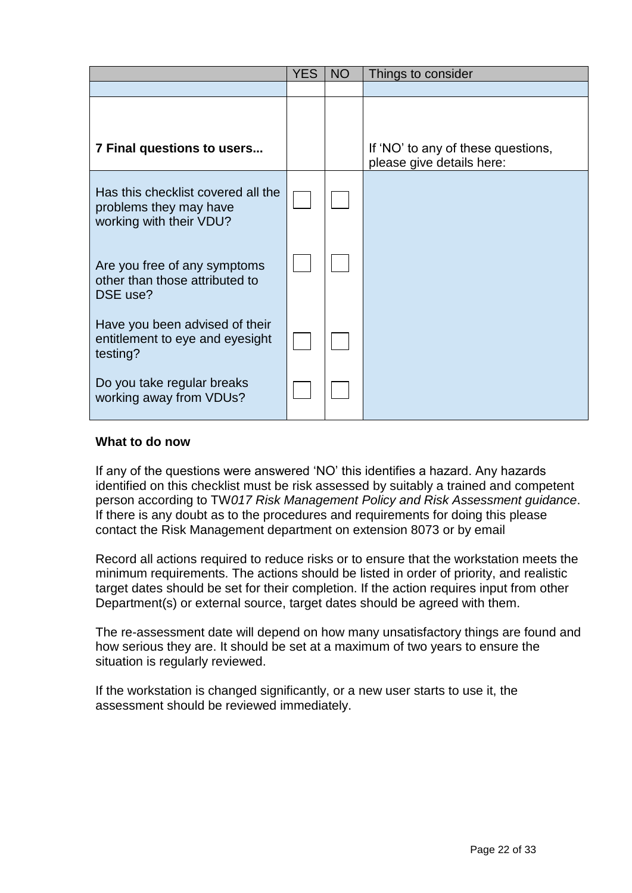|                                                                                         | <b>YES</b> | NO | Things to consider                                              |
|-----------------------------------------------------------------------------------------|------------|----|-----------------------------------------------------------------|
|                                                                                         |            |    |                                                                 |
| 7 Final questions to users                                                              |            |    | If 'NO' to any of these questions,<br>please give details here: |
| Has this checklist covered all the<br>problems they may have<br>working with their VDU? |            |    |                                                                 |
| Are you free of any symptoms<br>other than those attributed to<br>DSE use?              |            |    |                                                                 |
| Have you been advised of their<br>entitlement to eye and eyesight<br>testing?           |            |    |                                                                 |
| Do you take regular breaks<br>working away from VDUs?                                   |            |    |                                                                 |

## **What to do now**

If any of the questions were answered 'NO' this identifies a hazard. Any hazards identified on this checklist must be risk assessed by suitably a trained and competent person according to TW*017 Risk Management Policy and Risk Assessment guidance*. If there is any doubt as to the procedures and requirements for doing this please contact the Risk Management department on extension 8073 or by email

Record all actions required to reduce risks or to ensure that the workstation meets the minimum requirements. The actions should be listed in order of priority, and realistic target dates should be set for their completion. If the action requires input from other Department(s) or external source, target dates should be agreed with them.

The re-assessment date will depend on how many unsatisfactory things are found and how serious they are. It should be set at a maximum of two years to ensure the situation is regularly reviewed.

If the workstation is changed significantly, or a new user starts to use it, the assessment should be reviewed immediately.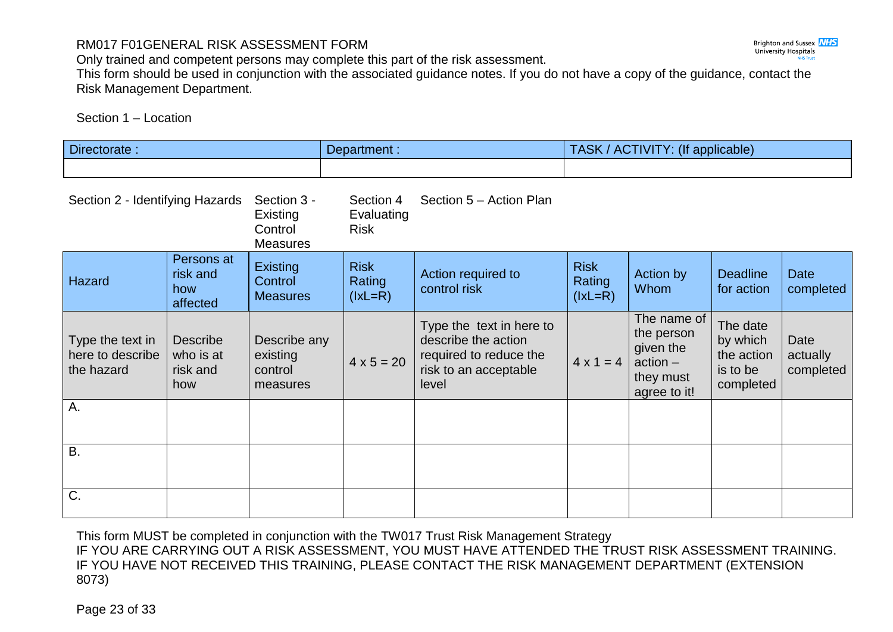# RM017 F01GENERAL RISK ASSESSMENT FORM

Only trained and competent persons may complete this part of the risk assessment.

This form should be used in conjunction with the associated guidance notes. If you do not have a copy of the guidance, contact the Risk Management Department.

Section 1 – Location

| Directorate:                                       |                                                 |                                                       | Department :                           |                                                                                                             |                                    | TASK / ACTIVITY: (If applicable)                                                  |                                                             |                               |
|----------------------------------------------------|-------------------------------------------------|-------------------------------------------------------|----------------------------------------|-------------------------------------------------------------------------------------------------------------|------------------------------------|-----------------------------------------------------------------------------------|-------------------------------------------------------------|-------------------------------|
|                                                    |                                                 |                                                       |                                        |                                                                                                             |                                    |                                                                                   |                                                             |                               |
| Section 2 - Identifying Hazards                    |                                                 | Section 3 -<br>Existing<br>Control<br><b>Measures</b> | Section 4<br>Evaluating<br><b>Risk</b> | Section 5 – Action Plan                                                                                     |                                    |                                                                                   |                                                             |                               |
| Hazard                                             | Persons at<br>risk and<br>how<br>affected       | <b>Existing</b><br>Control<br><b>Measures</b>         | <b>Risk</b><br>Rating<br>$(lxL=R)$     | Action required to<br>control risk                                                                          | <b>Risk</b><br>Rating<br>$(lxL=R)$ | Action by<br><b>Whom</b>                                                          | <b>Deadline</b><br>for action                               | <b>Date</b><br>completed      |
| Type the text in<br>here to describe<br>the hazard | <b>Describe</b><br>who is at<br>risk and<br>how | Describe any<br>existing<br>control<br>measures       | $4 \times 5 = 20$                      | Type the text in here to<br>describe the action<br>required to reduce the<br>risk to an acceptable<br>level | $4 \times 1 = 4$                   | The name of<br>the person<br>given the<br>$action -$<br>they must<br>agree to it! | The date<br>by which<br>the action<br>is to be<br>completed | Date<br>actually<br>completed |
| Α.                                                 |                                                 |                                                       |                                        |                                                                                                             |                                    |                                                                                   |                                                             |                               |
| B.                                                 |                                                 |                                                       |                                        |                                                                                                             |                                    |                                                                                   |                                                             |                               |
| C.                                                 |                                                 |                                                       |                                        |                                                                                                             |                                    |                                                                                   |                                                             |                               |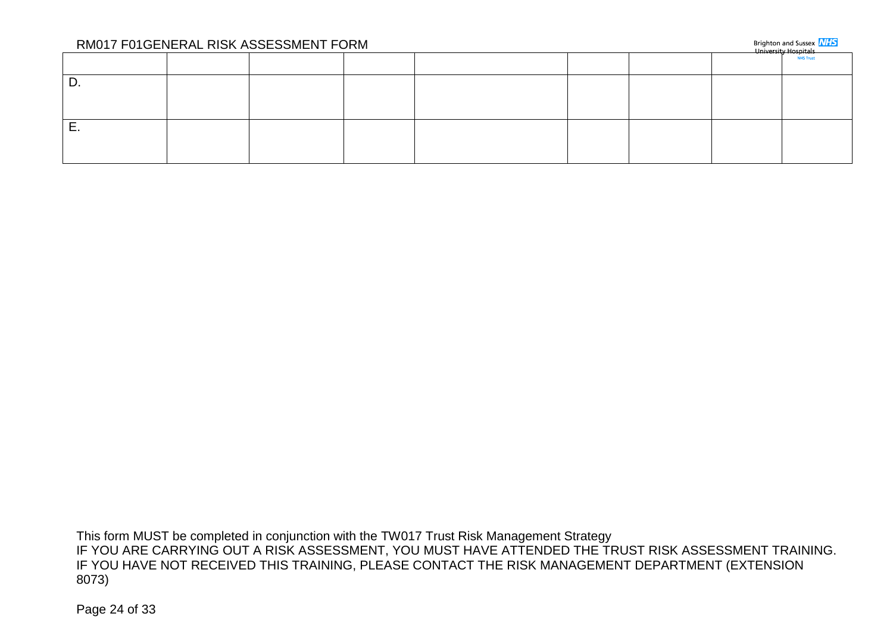|          | RM017 F01GENERAL RISK ASSESSMENT FORM |  |  | Brighton and Sussex <b>NHS</b><br>University Hospitals |
|----------|---------------------------------------|--|--|--------------------------------------------------------|
|          |                                       |  |  | <b>NHS Trust</b>                                       |
| υ.       |                                       |  |  |                                                        |
|          |                                       |  |  |                                                        |
| <u>.</u> |                                       |  |  |                                                        |
|          |                                       |  |  |                                                        |

This form MUST be completed in conjunction with the TW017 Trust Risk Management Strategy IF YOU ARE CARRYING OUT A RISK ASSESSMENT, YOU MUST HAVE ATTENDED THE TRUST RISK ASSESSMENT TRAINING. IF YOU HAVE NOT RECEIVED THIS TRAINING, PLEASE CONTACT THE RISK MANAGEMENT DEPARTMENT (EXTENSION 8073)

Page 24 of 33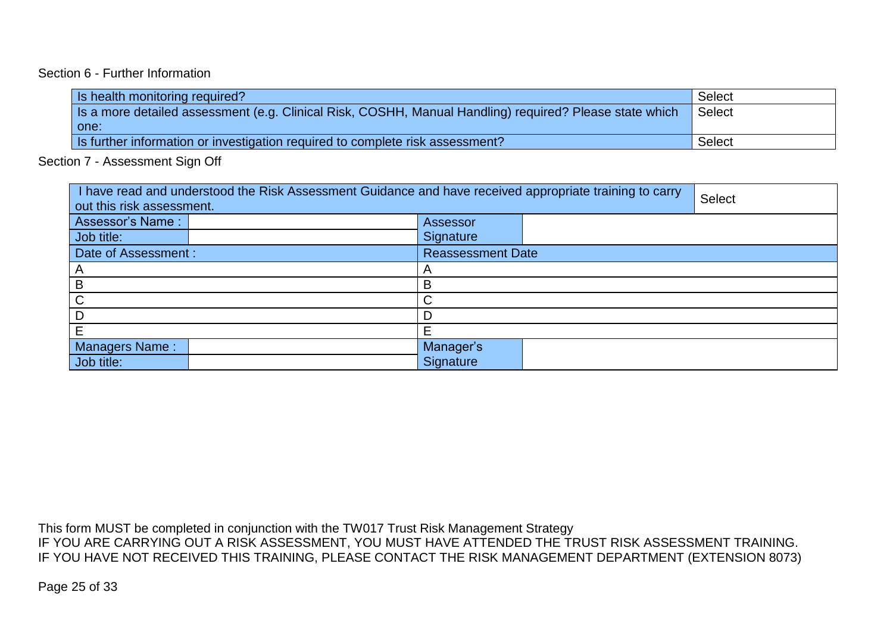## Section 6 - Further Information

| Is health monitoring required?                                                                          | Select |
|---------------------------------------------------------------------------------------------------------|--------|
| Is a more detailed assessment (e.g. Clinical Risk, COSHH, Manual Handling) required? Please state which | Select |
| one:                                                                                                    |        |
| Is further information or investigation required to complete risk assessment?                           | Select |

Section 7 - Assessment Sign Off

| I have read and understood the Risk Assessment Guidance and have received appropriate training to carry<br>out this risk assessment. |  |                          |  | <b>Select</b> |  |
|--------------------------------------------------------------------------------------------------------------------------------------|--|--------------------------|--|---------------|--|
| <b>Assessor's Name:</b>                                                                                                              |  | Assessor                 |  |               |  |
| Job title:                                                                                                                           |  | Signature                |  |               |  |
| Date of Assessment :                                                                                                                 |  | <b>Reassessment Date</b> |  |               |  |
|                                                                                                                                      |  |                          |  |               |  |
| B                                                                                                                                    |  | В                        |  |               |  |
| C                                                                                                                                    |  | ⌒                        |  |               |  |
|                                                                                                                                      |  |                          |  |               |  |
| Е                                                                                                                                    |  |                          |  |               |  |
| Managers Name:                                                                                                                       |  | Manager's                |  |               |  |
| Job title:                                                                                                                           |  | Signature                |  |               |  |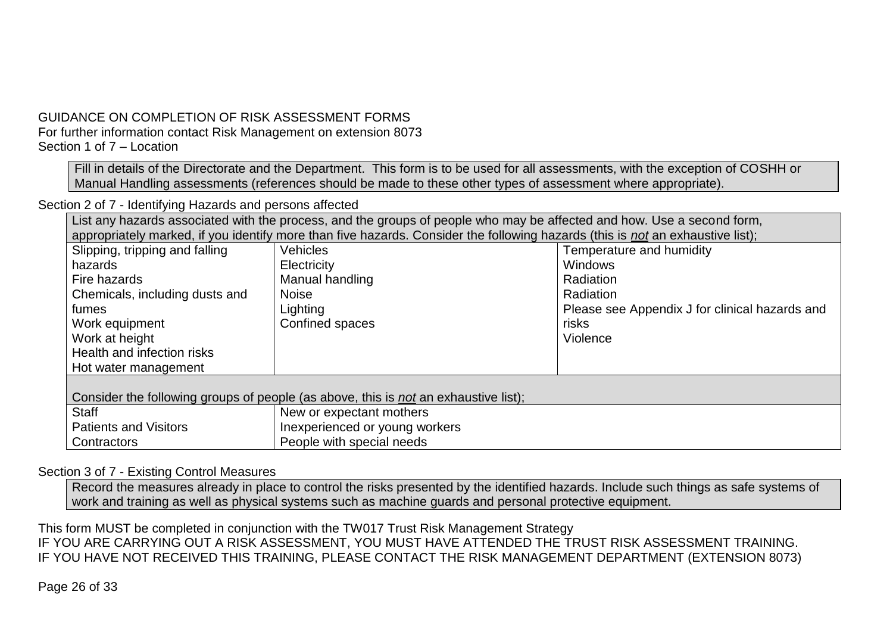# GUIDANCE ON COMPLETION OF RISK ASSESSMENT FORMS For further information contact Risk Management on extension 8073 Section 1 of 7 – Location

Fill in details of the Directorate and the Department. This form is to be used for all assessments, with the exception of COSHH or Manual Handling assessments (references should be made to these other types of assessment where appropriate).

Section 2 of 7 - Identifying Hazards and persons affected

List any hazards associated with the process, and the groups of people who may be affected and how. Use a second form, appropriately marked, if you identify more than five hazards. Consider the following hazards (this is *not* an exhaustive list);

| Slipping, tripping and falling | <b>Vehicles</b>                                                                            | Temperature and humidity                       |
|--------------------------------|--------------------------------------------------------------------------------------------|------------------------------------------------|
| hazards                        | Electricity                                                                                | <b>Windows</b>                                 |
| Fire hazards                   | Manual handling                                                                            | Radiation                                      |
| Chemicals, including dusts and | <b>Noise</b>                                                                               | Radiation                                      |
| fumes                          | Lighting                                                                                   | Please see Appendix J for clinical hazards and |
| Work equipment                 | Confined spaces                                                                            | risks                                          |
| Work at height                 |                                                                                            | Violence                                       |
| Health and infection risks     |                                                                                            |                                                |
| Hot water management           |                                                                                            |                                                |
|                                |                                                                                            |                                                |
|                                | Consider the following groups of people (as above, this is <i>not</i> an exhaustive list); |                                                |
| <b>Staff</b>                   | New or expectant mothers                                                                   |                                                |
| <b>Patients and Visitors</b>   | Inexperienced or young workers                                                             |                                                |
| Contractors                    | People with special needs                                                                  |                                                |

## Section 3 of 7 - Existing Control Measures

Record the measures already in place to control the risks presented by the identified hazards. Include such things as safe systems of work and training as well as physical systems such as machine guards and personal protective equipment.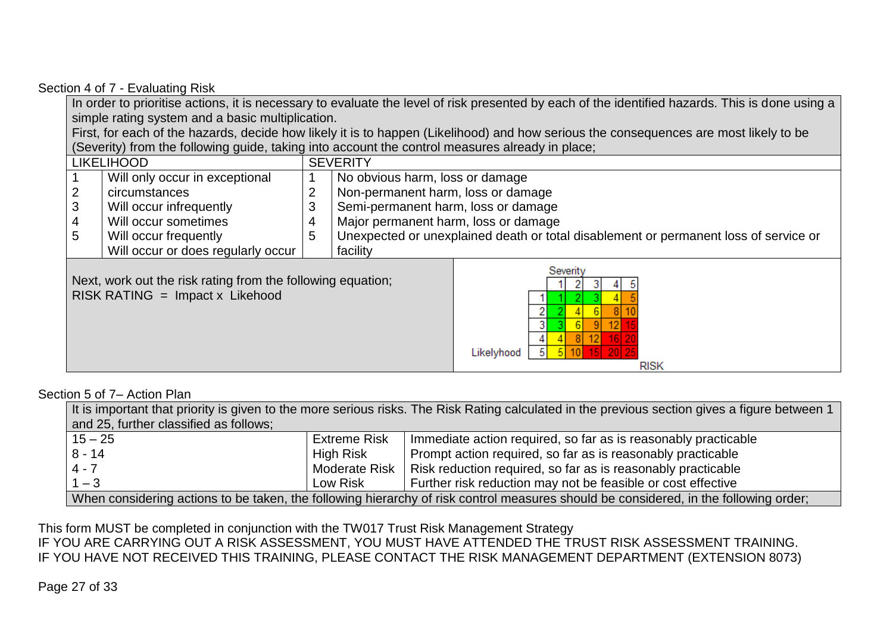#### Section 4 of 7 - Evaluating Risk

In order to prioritise actions, it is necessary to evaluate the level of risk presented by each of the identified hazards. This is done using a simple rating system and a basic multiplication.

First, for each of the hazards, decide how likely it is to happen (Likelihood) and how serious the consequences are most likely to be (Severity) from the following guide, taking into account the control measures already in place;

|   | <b>LIKELIHOOD</b>                                                                                |                | <b>SEVERITY</b>                      |                                                                                      |  |  |  |
|---|--------------------------------------------------------------------------------------------------|----------------|--------------------------------------|--------------------------------------------------------------------------------------|--|--|--|
|   | Will only occur in exceptional                                                                   |                |                                      | No obvious harm, loss or damage                                                      |  |  |  |
|   | circumstances                                                                                    | $\overline{2}$ | Non-permanent harm, loss or damage   |                                                                                      |  |  |  |
| 3 | Will occur infrequently                                                                          | 3              | Semi-permanent harm, loss or damage  |                                                                                      |  |  |  |
| 4 | Will occur sometimes                                                                             | 4              | Major permanent harm, loss or damage |                                                                                      |  |  |  |
| 5 | Will occur frequently                                                                            | 5              |                                      | Unexpected or unexplained death or total disablement or permanent loss of service or |  |  |  |
|   | Will occur or does regularly occur                                                               |                | facility                             |                                                                                      |  |  |  |
|   | Next, work out the risk rating from the following equation;<br>$RISK RATING = Impact x Likehood$ |                |                                      | Severity<br>Likelyhood<br><b>RISK</b>                                                |  |  |  |

#### Section 5 of 7– Action Plan

| It is important that priority is given to the more serious risks. The Risk Rating calculated in the previous section gives a figure between 1 |                      |                                                                                                                                      |  |  |  |  |  |
|-----------------------------------------------------------------------------------------------------------------------------------------------|----------------------|--------------------------------------------------------------------------------------------------------------------------------------|--|--|--|--|--|
| and 25, further classified as follows;                                                                                                        |                      |                                                                                                                                      |  |  |  |  |  |
| $15 - 25$                                                                                                                                     | <b>Extreme Risk</b>  | Immediate action required, so far as is reasonably practicable                                                                       |  |  |  |  |  |
| $8 - 14$                                                                                                                                      | High Risk            | Prompt action required, so far as is reasonably practicable                                                                          |  |  |  |  |  |
| $4 - 7$                                                                                                                                       | <b>Moderate Risk</b> | Risk reduction required, so far as is reasonably practicable                                                                         |  |  |  |  |  |
| $1 - 3$<br>Further risk reduction may not be feasible or cost effective<br>Low Risk                                                           |                      |                                                                                                                                      |  |  |  |  |  |
|                                                                                                                                               |                      | When considering actions to be taken, the following hierarchy of risk control measures should be considered, in the following order; |  |  |  |  |  |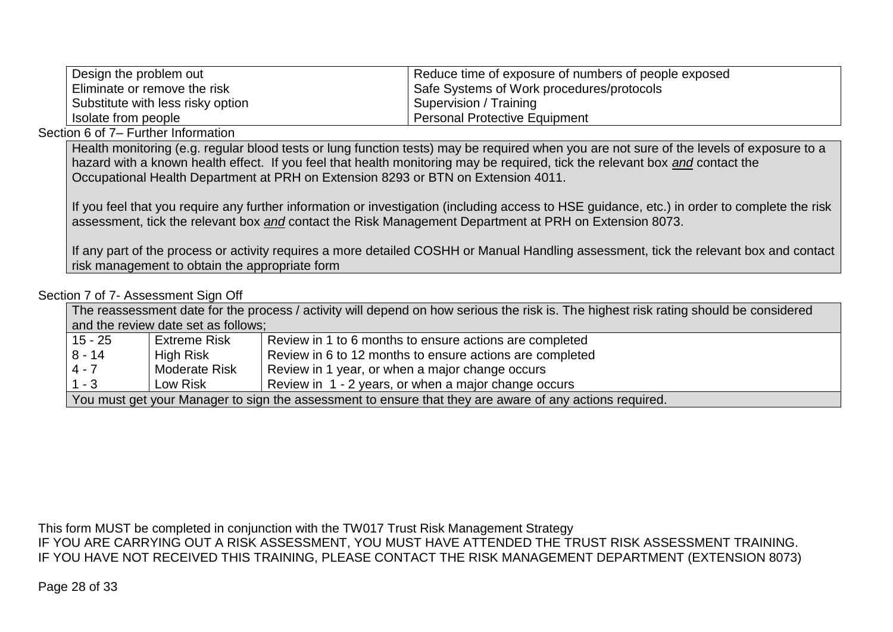| Design the problem out            | Reduce time of exposure of numbers of people exposed |
|-----------------------------------|------------------------------------------------------|
| Eliminate or remove the risk      | Safe Systems of Work procedures/protocols            |
| Substitute with less risky option | Supervision / Training                               |
| I Isolate from people             | <b>Personal Protective Equipment</b>                 |

#### Section 6 of 7– Further Information

Health monitoring (e.g. regular blood tests or lung function tests) may be required when you are not sure of the levels of exposure to a hazard with a known health effect. If you feel that health monitoring may be required, tick the relevant box *and* contact the Occupational Health Department at PRH on Extension 8293 or BTN on Extension 4011.

If you feel that you require any further information or investigation (including access to HSE guidance, etc.) in order to complete the risk assessment, tick the relevant box *and* contact the Risk Management Department at PRH on Extension 8073.

If any part of the process or activity requires a more detailed COSHH or Manual Handling assessment, tick the relevant box and contact risk management to obtain the appropriate form

#### Section 7 of 7- Assessment Sign Off

| The reassessment date for the process / activity will depend on how serious the risk is. The highest risk rating should be considered |                                     |                                                                                                         |  |  |  |  |  |
|---------------------------------------------------------------------------------------------------------------------------------------|-------------------------------------|---------------------------------------------------------------------------------------------------------|--|--|--|--|--|
|                                                                                                                                       | and the review date set as follows; |                                                                                                         |  |  |  |  |  |
| 15 - 25                                                                                                                               | <b>Extreme Risk</b>                 | Review in 1 to 6 months to ensure actions are completed                                                 |  |  |  |  |  |
| $8 - 14$                                                                                                                              | High Risk                           | Review in 6 to 12 months to ensure actions are completed                                                |  |  |  |  |  |
| $4 - 7$                                                                                                                               | <b>Moderate Risk</b>                | Review in 1 year, or when a major change occurs                                                         |  |  |  |  |  |
| $1 - 3$<br>Review in 1 - 2 years, or when a major change occurs<br>Low Risk                                                           |                                     |                                                                                                         |  |  |  |  |  |
|                                                                                                                                       |                                     | You must get your Manager to sign the assessment to ensure that they are aware of any actions required. |  |  |  |  |  |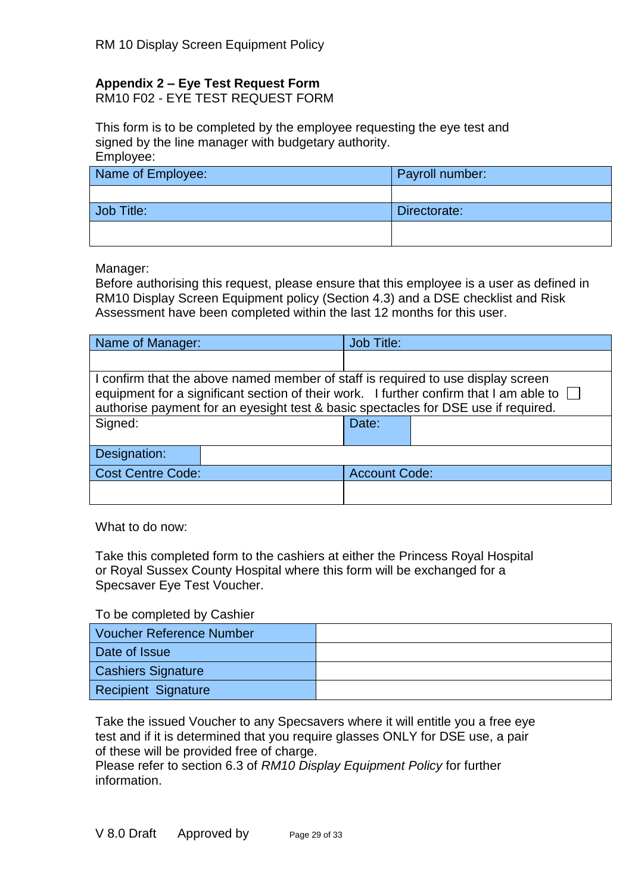# **Appendix 2 – Eye Test Request Form**

RM10 F02 - EYE TEST REQUEST FORM

This form is to be completed by the employee requesting the eye test and signed by the line manager with budgetary authority. Employee:

| Name of Employee: | Payroll number: |
|-------------------|-----------------|
|                   |                 |
| Job Title:        | Directorate:    |
|                   |                 |

Manager:

Before authorising this request, please ensure that this employee is a user as defined in RM10 Display Screen Equipment policy (Section 4.3) and a DSE checklist and Risk Assessment have been completed within the last 12 months for this user.

| Name of Manager:                                                                                                                                                                                                                                                 | <b>Job Title:</b>    |  |  |  |  |
|------------------------------------------------------------------------------------------------------------------------------------------------------------------------------------------------------------------------------------------------------------------|----------------------|--|--|--|--|
|                                                                                                                                                                                                                                                                  |                      |  |  |  |  |
| I confirm that the above named member of staff is required to use display screen<br>equipment for a significant section of their work. I further confirm that I am able to<br>authorise payment for an eyesight test & basic spectacles for DSE use if required. |                      |  |  |  |  |
| Signed:                                                                                                                                                                                                                                                          | Date:                |  |  |  |  |
| Designation:                                                                                                                                                                                                                                                     |                      |  |  |  |  |
| <b>Cost Centre Code:</b>                                                                                                                                                                                                                                         | <b>Account Code:</b> |  |  |  |  |
|                                                                                                                                                                                                                                                                  |                      |  |  |  |  |

What to do now:

Take this completed form to the cashiers at either the Princess Royal Hospital or Royal Sussex County Hospital where this form will be exchanged for a Specsaver Eye Test Voucher.

To be completed by Cashier

| Voucher Reference Number  |  |
|---------------------------|--|
| Date of Issue             |  |
| <b>Cashiers Signature</b> |  |
| Recipient Signature       |  |

Take the issued Voucher to any Specsavers where it will entitle you a free eye test and if it is determined that you require glasses ONLY for DSE use, a pair of these will be provided free of charge.

Please refer to section 6.3 of *RM10 Display Equipment Policy* for further information.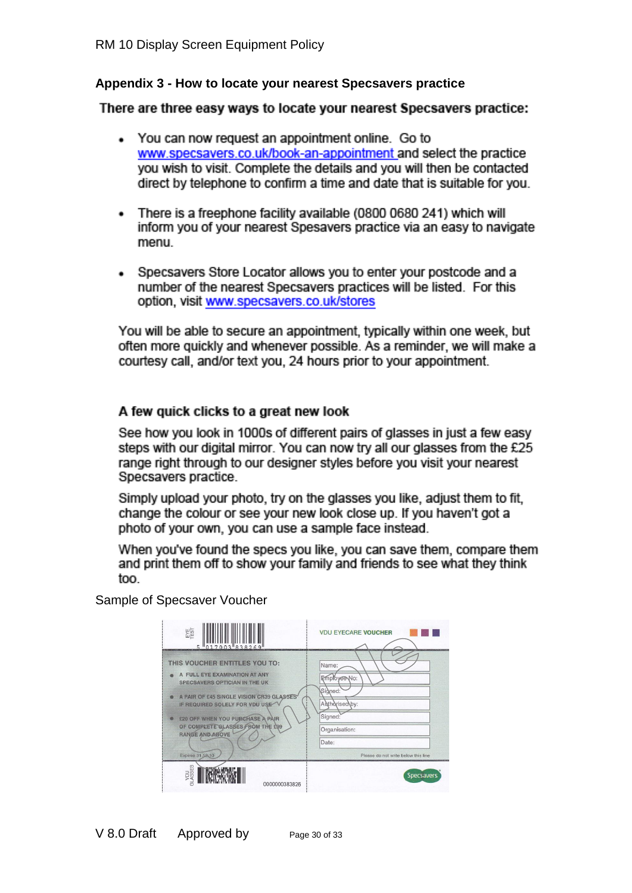## **Appendix 3 - How to locate your nearest Specsavers practice**

## There are three easy ways to locate your nearest Specsavers practice:

- You can now request an appointment online. Go to www.specsavers.co.uk/book-an-appointment and select the practice you wish to visit. Complete the details and you will then be contacted direct by telephone to confirm a time and date that is suitable for you.
- There is a freephone facility available (0800 0680 241) which will inform you of your nearest Spesavers practice via an easy to navigate menu.
- Specsavers Store Locator allows you to enter your postcode and a number of the nearest Specsavers practices will be listed. For this option, visit www.specsavers.co.uk/stores

You will be able to secure an appointment, typically within one week, but often more quickly and whenever possible. As a reminder, we will make a courtesy call, and/or text you, 24 hours prior to your appointment.

## A few quick clicks to a great new look

See how you look in 1000s of different pairs of glasses in just a few easy steps with our digital mirror. You can now try all our glasses from the £25 range right through to our designer styles before you visit your nearest Specsavers practice.

Simply upload your photo, try on the glasses you like, adjust them to fit, change the colour or see your new look close up. If you haven't got a photo of your own, you can use a sample face instead.

When you've found the specs you like, you can save them, compare them and print them off to show your family and friends to see what they think too.

Sample of Specsaver Voucher

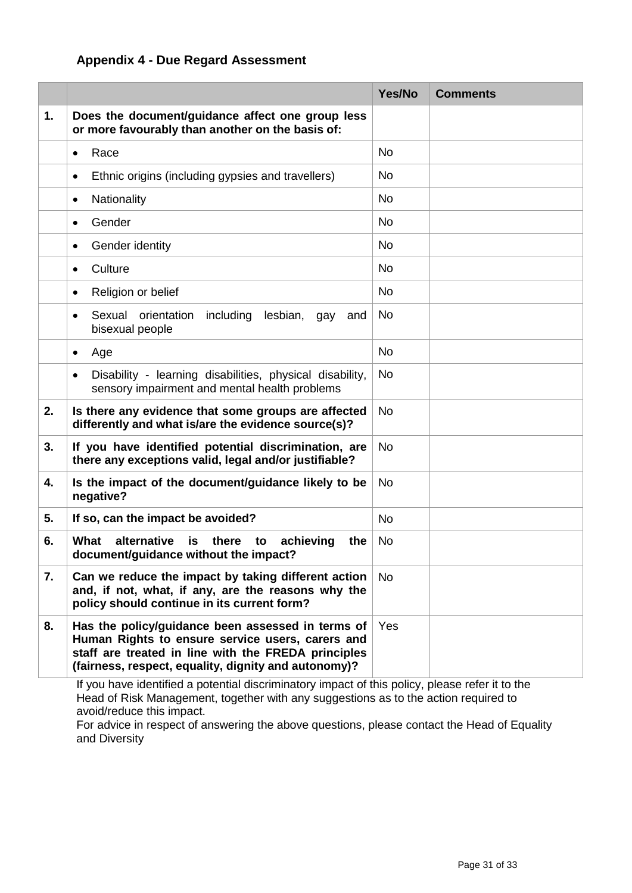# **Appendix 4 - Due Regard Assessment**

|    |                                                                                                                                                                                                                      | Yes/No    | <b>Comments</b>                                                                                 |
|----|----------------------------------------------------------------------------------------------------------------------------------------------------------------------------------------------------------------------|-----------|-------------------------------------------------------------------------------------------------|
| 1. | Does the document/guidance affect one group less<br>or more favourably than another on the basis of:                                                                                                                 |           |                                                                                                 |
|    | Race<br>$\bullet$                                                                                                                                                                                                    | <b>No</b> |                                                                                                 |
|    | Ethnic origins (including gypsies and travellers)<br>$\bullet$                                                                                                                                                       | No        |                                                                                                 |
|    | Nationality<br>٠                                                                                                                                                                                                     | <b>No</b> |                                                                                                 |
|    | Gender<br>$\bullet$                                                                                                                                                                                                  | <b>No</b> |                                                                                                 |
|    | Gender identity<br>$\bullet$                                                                                                                                                                                         | <b>No</b> |                                                                                                 |
|    | Culture<br>٠                                                                                                                                                                                                         | <b>No</b> |                                                                                                 |
|    | Religion or belief<br>٠                                                                                                                                                                                              | No        |                                                                                                 |
|    | Sexual<br>orientation<br>including<br>lesbian,<br>and<br>gay<br>٠<br>bisexual people                                                                                                                                 | <b>No</b> |                                                                                                 |
|    | Age<br>$\bullet$                                                                                                                                                                                                     | <b>No</b> |                                                                                                 |
|    | Disability - learning disabilities, physical disability,<br>$\bullet$<br>sensory impairment and mental health problems                                                                                               | No        |                                                                                                 |
| 2. | Is there any evidence that some groups are affected<br>differently and what is/are the evidence source(s)?                                                                                                           | <b>No</b> |                                                                                                 |
| 3. | If you have identified potential discrimination, are<br>there any exceptions valid, legal and/or justifiable?                                                                                                        | <b>No</b> |                                                                                                 |
| 4. | Is the impact of the document/guidance likely to be<br>negative?                                                                                                                                                     | <b>No</b> |                                                                                                 |
| 5. | If so, can the impact be avoided?                                                                                                                                                                                    | <b>No</b> |                                                                                                 |
| 6. | What<br>alternative<br>there<br>is<br>achieving<br>to<br>the<br>document/guidance without the impact?                                                                                                                | No        |                                                                                                 |
| 7. | Can we reduce the impact by taking different action<br>and, if not, what, if any, are the reasons why the<br>policy should continue in its current form?                                                             | No.       |                                                                                                 |
| 8. | Has the policy/guidance been assessed in terms of<br>Human Rights to ensure service users, carers and<br>staff are treated in line with the FREDA principles<br>(fairness, respect, equality, dignity and autonomy)? |           | If you have identified a petertial discriminatory impact of this policy, please refer it to the |

If you have identified a potential discriminatory impact of this policy, please refer it to the Head of Risk Management, together with any suggestions as to the action required to avoid/reduce this impact.

For advice in respect of answering the above questions, please contact the Head of Equality and Diversity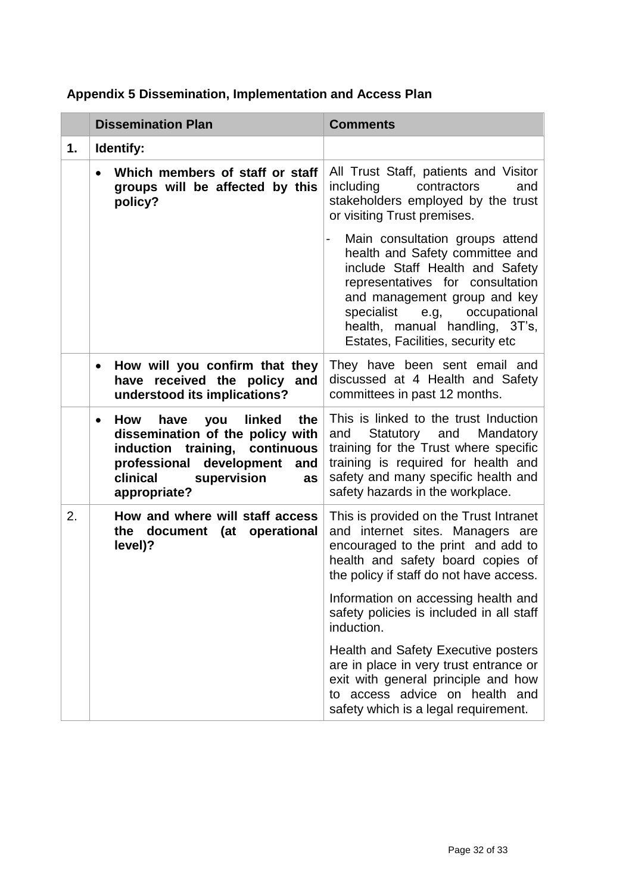|    | <b>Dissemination Plan</b>                                                                                                                                                                                     | <b>Comments</b>                                                                                                                                                                                                                                                                             |  |
|----|---------------------------------------------------------------------------------------------------------------------------------------------------------------------------------------------------------------|---------------------------------------------------------------------------------------------------------------------------------------------------------------------------------------------------------------------------------------------------------------------------------------------|--|
| 1. | <b>Identify:</b>                                                                                                                                                                                              |                                                                                                                                                                                                                                                                                             |  |
|    | Which members of staff or staff<br>$\bullet$<br>groups will be affected by this<br>policy?                                                                                                                    | All Trust Staff, patients and Visitor<br>including<br>contractors<br>and<br>stakeholders employed by the trust<br>or visiting Trust premises.                                                                                                                                               |  |
|    |                                                                                                                                                                                                               | Main consultation groups attend<br>-<br>health and Safety committee and<br>include Staff Health and Safety<br>representatives for consultation<br>and management group and key<br>specialist<br>e.g,<br>occupational<br>health, manual handling, 3T's,<br>Estates, Facilities, security etc |  |
|    | How will you confirm that they<br>٠<br>received the policy<br>and<br>have<br>understood its implications?                                                                                                     | They have been sent email and<br>discussed at 4 Health and Safety<br>committees in past 12 months.                                                                                                                                                                                          |  |
|    | have<br>linked<br>the<br>How<br>you<br>$\bullet$<br>dissemination of the policy with<br>induction training, continuous<br>development<br>professional<br>and<br>clinical<br>supervision<br>as<br>appropriate? | This is linked to the trust Induction<br>and Statutory and Mandatory<br>training for the Trust where specific<br>training is required for health and<br>safety and many specific health and<br>safety hazards in the workplace.                                                             |  |
| 2. | How and where will staff access<br>document (at operational<br>the<br>level)?                                                                                                                                 | This is provided on the Trust Intranet<br>and internet sites. Managers are<br>encouraged to the print and add to<br>health and safety board copies of<br>the policy if staff do not have access.                                                                                            |  |
|    |                                                                                                                                                                                                               | Information on accessing health and<br>safety policies is included in all staff<br>induction.                                                                                                                                                                                               |  |
|    |                                                                                                                                                                                                               | <b>Health and Safety Executive posters</b><br>are in place in very trust entrance or<br>exit with general principle and how<br>to access advice on health and<br>safety which is a legal requirement.                                                                                       |  |

# **Appendix 5 Dissemination, Implementation and Access Plan**